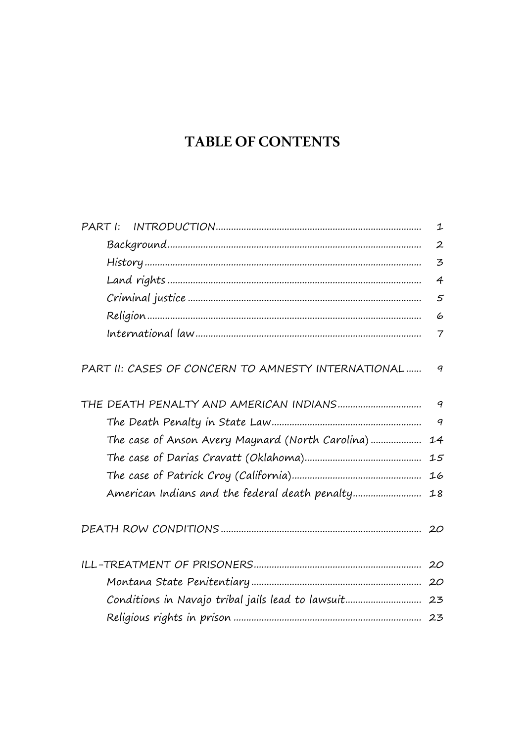# **TABLE OF CONTENTS**

| PART I:                                              | $\mathbf{1}$     |
|------------------------------------------------------|------------------|
|                                                      | $\boldsymbol{2}$ |
|                                                      | $\overline{5}$   |
|                                                      | $\overline{4}$   |
|                                                      | 5                |
|                                                      | 6                |
|                                                      | $\overline{7}$   |
| PART II: CASES OF CONCERN TO AMNESTY INTERNATIONAL   | $\overline{q}$   |
|                                                      | $\overline{q}$   |
|                                                      | $\overline{q}$   |
| The case of Anson Avery Maynard (North Carolina)     | 14               |
|                                                      | 15               |
|                                                      | 16               |
| American Indians and the federal death penalty       | 18               |
|                                                      |                  |
|                                                      |                  |
|                                                      |                  |
| Conditions in Navajo tribal jails lead to lawsuit 23 |                  |
|                                                      |                  |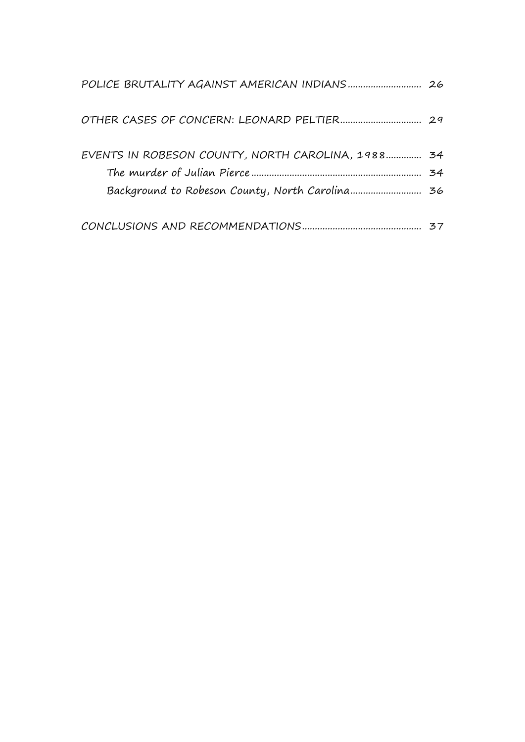| EVENTS IN ROBESON COUNTY, NORTH CAROLINA, 1988 34 |  |
|---------------------------------------------------|--|
|                                                   |  |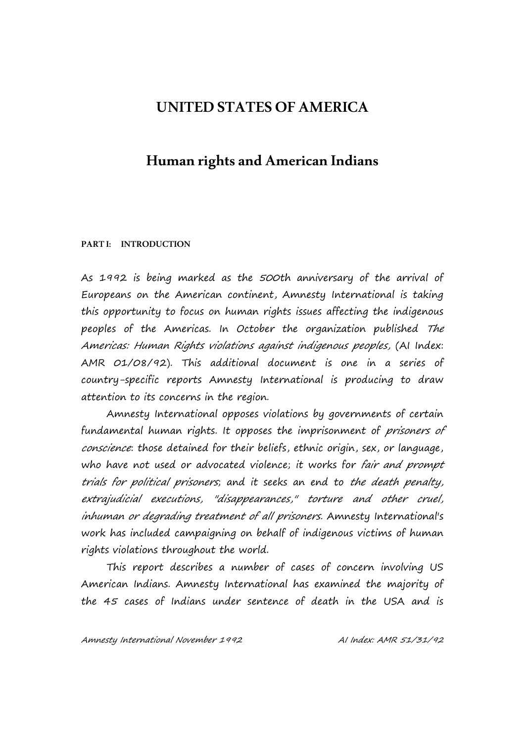## **UNITED STATES OF AMERICA**

## **Human rights and American Indians**

### **PART I: INTRODUCTION**

As 1992 is being marked as the 500th anniversary of the arrival of Europeans on the American continent, Amnesty International is taking this opportunity to focus on human rights issues affecting the indigenous peoples of the Americas. In October the organization published The Americas: Human Rights violations against indigenous peoples, (AI Index: AMR 01/08/92). This additional document is one in a series of country-specific reports Amnesty International is producing to draw attention to its concerns in the region.

Amnesty International opposes violations by governments of certain fundamental human rights. It opposes the imprisonment of prisoners of conscience: those detained for their beliefs, ethnic origin, sex, or language, who have not used or advocated violence; it works for *fair and prompt* trials for political prisoners; and it seeks an end to the death penalty, extrajudicial executions, "disappearances," torture and other cruel, inhuman or degrading treatment of all prisoners. Amnesty International's work has included campaigning on behalf of indigenous victims of human rights violations throughout the world.

This report describes a number of cases of concern involving US American Indians. Amnesty International has examined the majority of the 45 cases of Indians under sentence of death in the USA and is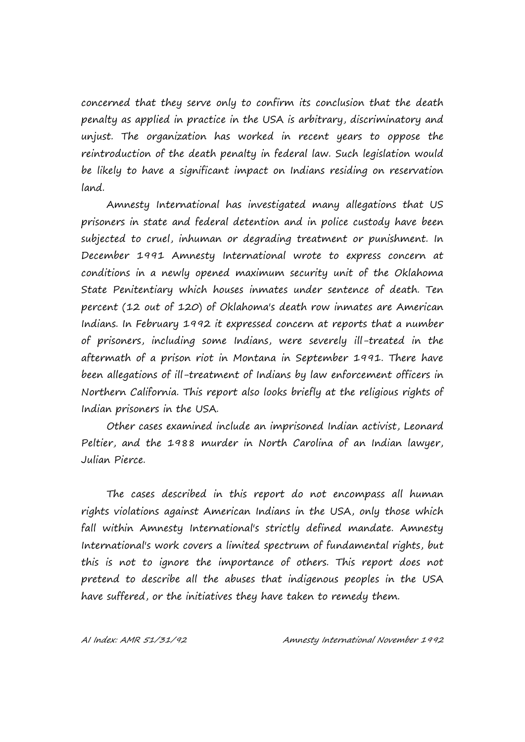concerned that they serve only to confirm its conclusion that the death penalty as applied in practice in the USA is arbitrary, discriminatory and unjust. The organization has worked in recent years to oppose the reintroduction of the death penalty in federal law. Such legislation would be likely to have a significant impact on Indians residing on reservation land.

Amnesty International has investigated many allegations that US prisoners in state and federal detention and in police custody have been subjected to cruel, inhuman or degrading treatment or punishment. In December 1991 Amnesty International wrote to express concern at conditions in a newly opened maximum security unit of the Oklahoma State Penitentiary which houses inmates under sentence of death. Ten percent (12 out of 120) of Oklahoma's death row inmates are American Indians. In February 1992 it expressed concern at reports that a number of prisoners, including some Indians, were severely ill-treated in the aftermath of a prison riot in Montana in September 1991. There have been allegations of ill-treatment of Indians by law enforcement officers in Northern California. This report also looks briefly at the religious rights of Indian prisoners in the USA.

Other cases examined include an imprisoned Indian activist, Leonard Peltier, and the 1988 murder in North Carolina of an Indian lawyer, Julian Pierce.

The cases described in this report do not encompass all human rights violations against American Indians in the USA, only those which fall within Amnesty International's strictly defined mandate. Amnesty International's work covers a limited spectrum of fundamental rights, but this is not to ignore the importance of others. This report does not pretend to describe all the abuses that indigenous peoples in the USA have suffered, or the initiatives they have taken to remedy them.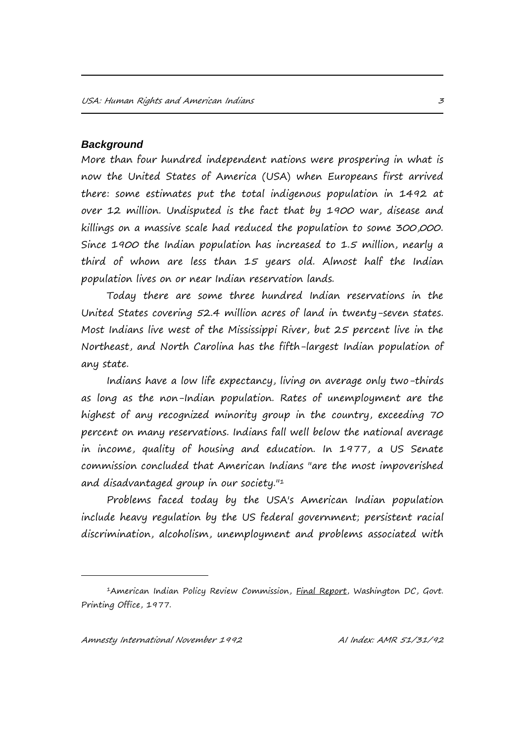### *Background*

More than four hundred independent nations were prospering in what is now the United States of America (USA) when Europeans first arrived there: some estimates put the total indigenous population in 1492 at over 12 million. Undisputed is the fact that by 1900 war, disease and killings on a massive scale had reduced the population to some 300,000. Since 1900 the Indian population has increased to 1.5 million, nearly a third of whom are less than 15 years old. Almost half the Indian population lives on or near Indian reservation lands.

Today there are some three hundred Indian reservations in the United States covering 52.4 million acres of land in twenty-seven states. Most Indians live west of the Mississippi River, but 25 percent live in the Northeast, and North Carolina has the fifth-largest Indian population of any state.

Indians have a low life expectancy, living on average only two-thirds as long as the non-Indian population. Rates of unemployment are the highest of any recognized minority group in the country, exceeding 70 percent on many reservations. Indians fall well below the national average in income, quality of housing and education. In 1977, a US Senate commission concluded that American Indians "are the most impoverished and disadvantaged group in our society."<sup>1</sup>

Problems faced today by the USA's American Indian population include heavy regulation by the US federal government; persistent racial discrimination, alcoholism, unemployment and problems associated with

i<br>I

<sup>&</sup>lt;sup>1</sup>American Indian Policy Review Commission, **Final Report**, Washington DC, Govt. Printing Office, 1977.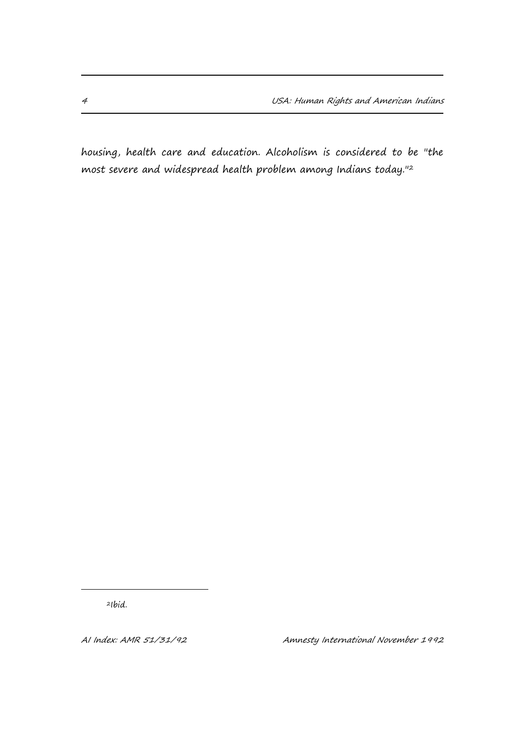housing, health care and education. Alcoholism is considered to be "the most severe and widespread health problem among Indians today."<sup>2</sup>

2Ibid.

i.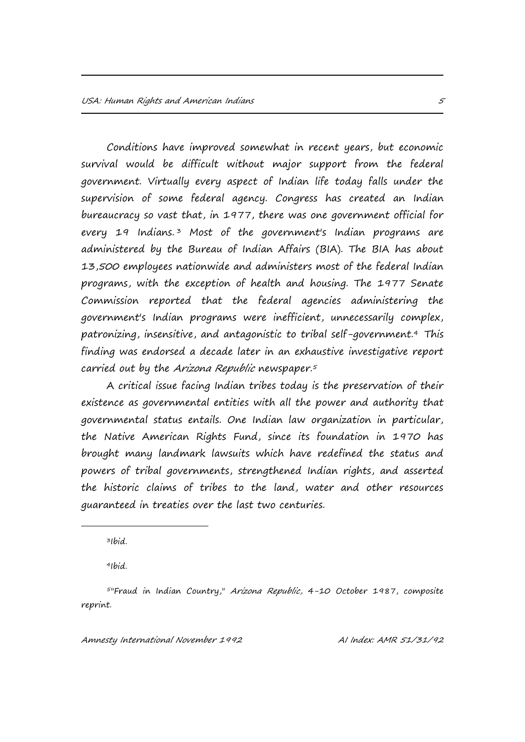Conditions have improved somewhat in recent years, but economic survival would be difficult without major support from the federal government. Virtually every aspect of Indian life today falls under the supervision of some federal agency. Congress has created an Indian bureaucracy so vast that, in 1977, there was one government official for every 19 Indians.<sup>3</sup> Most of the government's Indian programs are administered by the Bureau of Indian Affairs (BIA). The BIA has about 13,500 employees nationwide and administers most of the federal Indian programs, with the exception of health and housing. The 1977 Senate Commission reported that the federal agencies administering the government's Indian programs were inefficient, unnecessarily complex, patronizing, insensitive, and antagonistic to tribal self-government.<sup>4</sup> This finding was endorsed a decade later in an exhaustive investigative report carried out by the Arizona Republic newspaper.<sup>5</sup>

A critical issue facing Indian tribes today is the preservation of their existence as governmental entities with all the power and authority that governmental status entails. One Indian law organization in particular, the Native American Rights Fund, since its foundation in 1970 has brought many landmark lawsuits which have redefined the status and powers of tribal governments, strengthened Indian rights, and asserted the historic claims of tribes to the land, water and other resources guaranteed in treaties over the last two centuries.

<sup>3</sup>Ibid.

i.

<sup>4</sup>Ibid.

<sup>5</sup>"Fraud in Indian Country," Arizona Republic, 4-10 October 1987, composite reprint.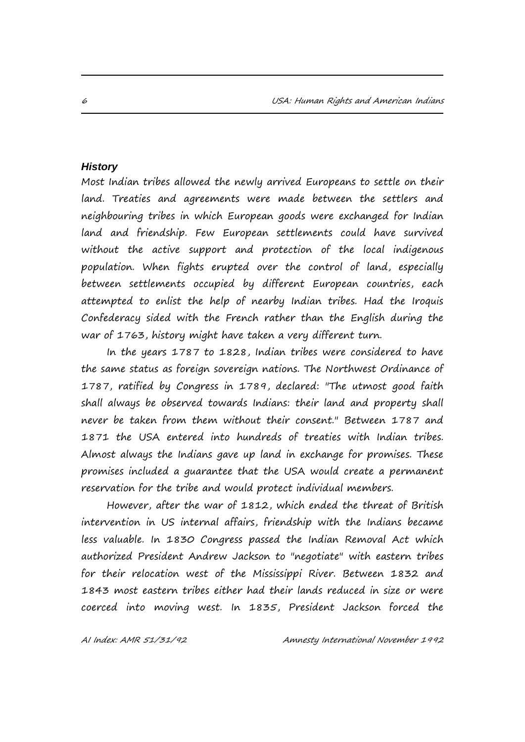### *History*

Most Indian tribes allowed the newly arrived Europeans to settle on their land. Treaties and agreements were made between the settlers and neighbouring tribes in which European goods were exchanged for Indian land and friendship. Few European settlements could have survived without the active support and protection of the local indigenous population. When fights erupted over the control of land, especially between settlements occupied by different European countries, each attempted to enlist the help of nearby Indian tribes. Had the Iroquis Confederacy sided with the French rather than the English during the war of 1763, history might have taken a very different turn.

In the years 1787 to 1828, Indian tribes were considered to have the same status as foreign sovereign nations. The Northwest Ordinance of 1787, ratified by Congress in 1789, declared: "The utmost good faith shall always be observed towards Indians: their land and property shall never be taken from them without their consent." Between 1787 and 1871 the USA entered into hundreds of treaties with Indian tribes. Almost always the Indians gave up land in exchange for promises. These promises included a guarantee that the USA would create a permanent reservation for the tribe and would protect individual members.

However, after the war of 1812, which ended the threat of British intervention in US internal affairs, friendship with the Indians became less valuable. In 1830 Congress passed the Indian Removal Act which authorized President Andrew Jackson to "negotiate" with eastern tribes for their relocation west of the Mississippi River. Between 1832 and 1843 most eastern tribes either had their lands reduced in size or were coerced into moving west. In 1835, President Jackson forced the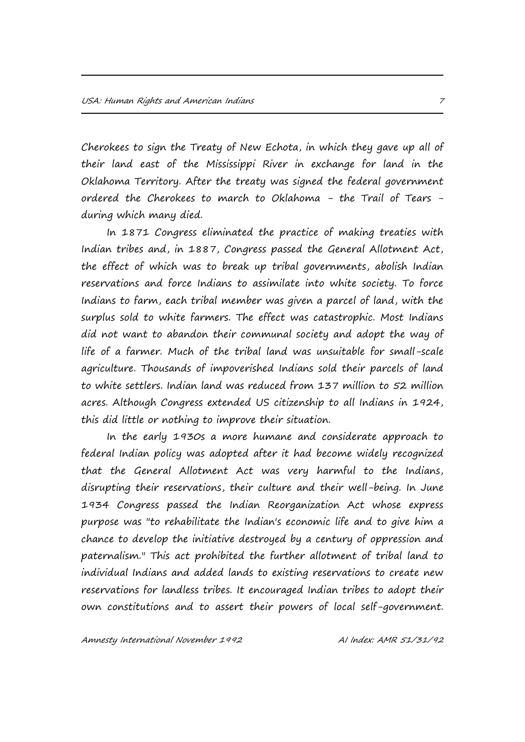Cherokees to sign the Treaty of New Echota, in which they gave up all of their land east of the Mississippi River in exchange for land in the Oklahoma Territory. After the treaty was signed the federal government ordered the Cherokees to march to Oklahoma - the Trail of Tears during which many died.

In 1871 Congress eliminated the practice of making treaties with Indian tribes and, in 1887, Congress passed the General Allotment Act, the effect of which was to break up tribal governments, abolish Indian reservations and force Indians to assimilate into white society. To force Indians to farm, each tribal member was given a parcel of land, with the surplus sold to white farmers. The effect was catastrophic. Most Indians did not want to abandon their communal society and adopt the way of life of a farmer. Much of the tribal land was unsuitable for small-scale agriculture. Thousands of impoverished Indians sold their parcels of land to white settlers. Indian land was reduced from 137 million to 52 million acres. Although Congress extended US citizenship to all Indians in 1924, this did little or nothing to improve their situation.

In the early 1930s a more humane and considerate approach to federal Indian policy was adopted after it had become widely recognized that the General Allotment Act was very harmful to the Indians, disrupting their reservations, their culture and their well-being. In June 1934 Congress passed the Indian Reorganization Act whose express purpose was "to rehabilitate the Indian's economic life and to give him a chance to develop the initiative destroyed by a century of oppression and paternalism." This act prohibited the further allotment of tribal land to individual Indians and added lands to existing reservations to create new reservations for landless tribes. It encouraged Indian tribes to adopt their own constitutions and to assert their powers of local self-government.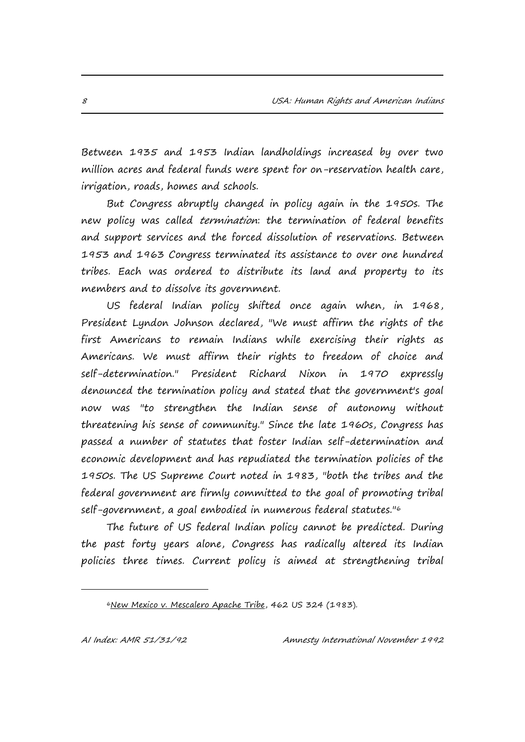Between 1935 and 1953 Indian landholdings increased by over two million acres and federal funds were spent for on-reservation health care, irrigation, roads, homes and schools.

But Congress abruptly changed in policy again in the 1950s. The new policy was called *termination*: the termination of federal benefits and support services and the forced dissolution of reservations. Between 1953 and 1963 Congress terminated its assistance to over one hundred tribes. Each was ordered to distribute its land and property to its members and to dissolve its government.

US federal Indian policy shifted once again when, in 1968, President Lyndon Johnson declared, "We must affirm the rights of the first Americans to remain Indians while exercising their rights as Americans. We must affirm their rights to freedom of choice and self-determination." President Richard Nixon in 1970 expressly denounced the termination policy and stated that the government's goal now was "to strengthen the Indian sense of autonomy without threatening his sense of community." Since the late 1960s, Congress has passed a number of statutes that foster Indian self-determination and economic development and has repudiated the termination policies of the 1950s. The US Supreme Court noted in 1983, "both the tribes and the federal government are firmly committed to the goal of promoting tribal self-government, a goal embodied in numerous federal statutes."<sup>6</sup>

The future of US federal Indian policy cannot be predicted. During the past forty years alone, Congress has radically altered its Indian policies three times. Current policy is aimed at strengthening tribal

i.

<sup>6</sup>New Mexico v. Mescalero Apache Tribe, 462 US 324 (1983).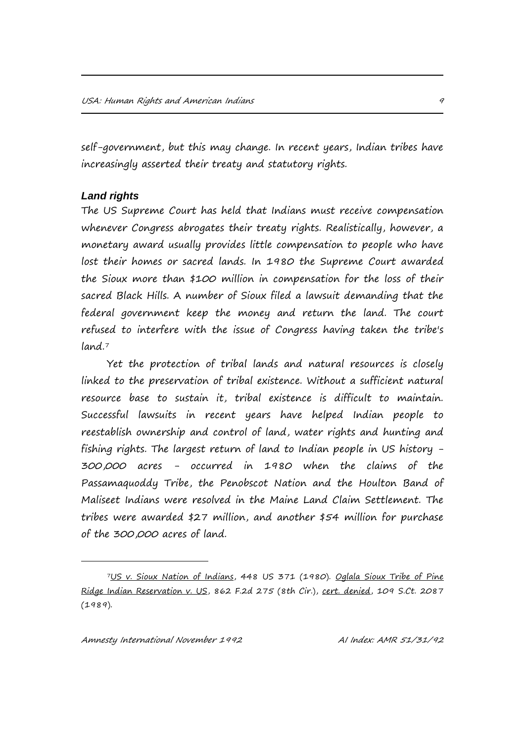self-government, but this may change. In recent years, Indian tribes have increasingly asserted their treaty and statutory rights.

### *Land rights*

The US Supreme Court has held that Indians must receive compensation whenever Congress abrogates their treaty rights. Realistically, however, a monetary award usually provides little compensation to people who have lost their homes or sacred lands. In 1980 the Supreme Court awarded the Sioux more than \$100 million in compensation for the loss of their sacred Black Hills. A number of Sioux filed a lawsuit demanding that the federal government keep the money and return the land. The court refused to interfere with the issue of Congress having taken the tribe's land.<sup>7</sup>

Yet the protection of tribal lands and natural resources is closely linked to the preservation of tribal existence. Without a sufficient natural resource base to sustain it, tribal existence is difficult to maintain. Successful lawsuits in recent years have helped Indian people to reestablish ownership and control of land, water rights and hunting and fishing rights. The largest return of land to Indian people in US history - 300,000 acres - occurred in 1980 when the claims of the Passamaquoddy Tribe, the Penobscot Nation and the Houlton Band of Maliseet Indians were resolved in the Maine Land Claim Settlement. The tribes were awarded \$27 million, and another \$54 million for purchase of the 300,000 acres of land.

i.

<sup>7</sup>US v. Sioux Nation of Indians, 448 US 371 (1980). Oglala Sioux Tribe of Pine Ridge Indian Reservation v. US, 862 F.2d 275 (8th Cir.), cert. denied, 109 S.Ct. 2087  $(1989)$ .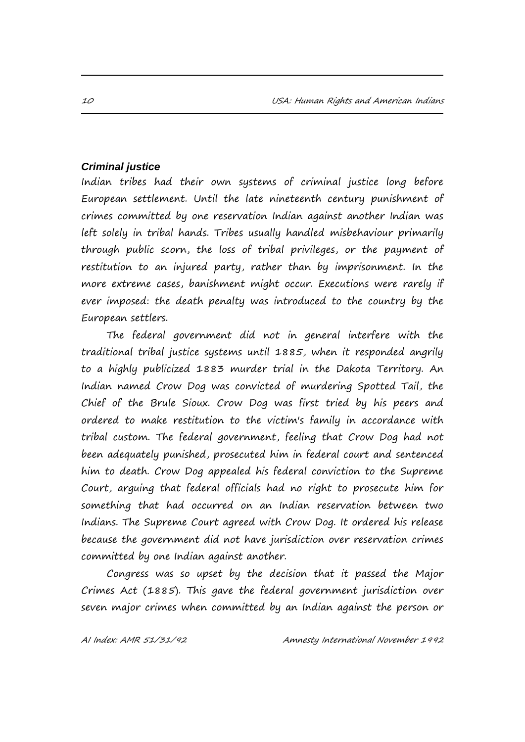### *Criminal justice*

Indian tribes had their own systems of criminal justice long before European settlement. Until the late nineteenth century punishment of crimes committed by one reservation Indian against another Indian was left solely in tribal hands. Tribes usually handled misbehaviour primarily through public scorn, the loss of tribal privileges, or the payment of restitution to an injured party, rather than by imprisonment. In the more extreme cases, banishment might occur. Executions were rarely if ever imposed: the death penalty was introduced to the country by the European settlers.

The federal government did not in general interfere with the traditional tribal justice systems until 1885, when it responded angrily to a highly publicized 1883 murder trial in the Dakota Territory. An Indian named Crow Dog was convicted of murdering Spotted Tail, the Chief of the Brule Sioux. Crow Dog was first tried by his peers and ordered to make restitution to the victim's family in accordance with tribal custom. The federal government, feeling that Crow Dog had not been adequately punished, prosecuted him in federal court and sentenced him to death. Crow Dog appealed his federal conviction to the Supreme Court, arguing that federal officials had no right to prosecute him for something that had occurred on an Indian reservation between two Indians. The Supreme Court agreed with Crow Dog. It ordered his release because the government did not have jurisdiction over reservation crimes committed by one Indian against another.

Congress was so upset by the decision that it passed the Major Crimes Act (1885). This gave the federal government jurisdiction over seven major crimes when committed by an Indian against the person or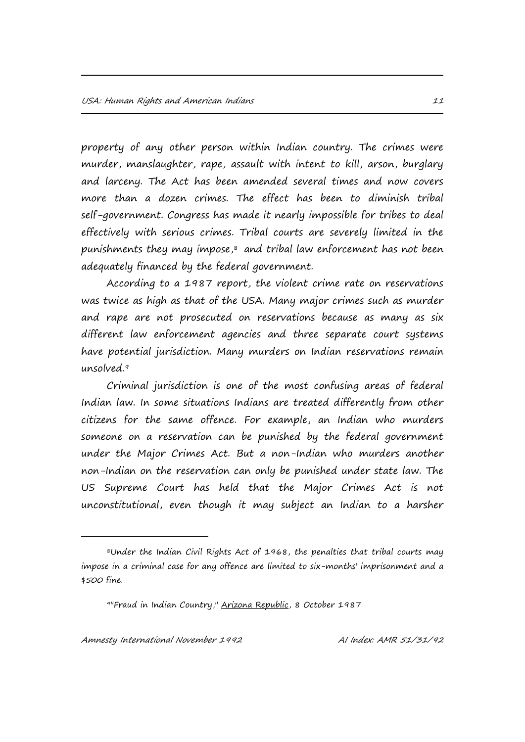property of any other person within Indian country. The crimes were murder, manslaughter, rape, assault with intent to kill, arson, burglary and larceny. The Act has been amended several times and now covers more than a dozen crimes. The effect has been to diminish tribal self-government. Congress has made it nearly impossible for tribes to deal effectively with serious crimes. Tribal courts are severely limited in the punishments they may impose,<sup>8</sup> and tribal law enforcement has not been adequately financed by the federal government.

According to a 1987 report, the violent crime rate on reservations was twice as high as that of the USA. Many major crimes such as murder and rape are not prosecuted on reservations because as many as six different law enforcement agencies and three separate court systems have potential jurisdiction. Many murders on Indian reservations remain unsolved.<sup>9</sup>

Criminal jurisdiction is one of the most confusing areas of federal Indian law. In some situations Indians are treated differently from other citizens for the same offence. For example, an Indian who murders someone on a reservation can be punished by the federal government under the Major Crimes Act. But a non-Indian who murders another non-Indian on the reservation can only be punished under state law. The US Supreme Court has held that the Major Crimes Act is not unconstitutional, even though it may subject an Indian to a harsher

i.

<sup>8</sup>Under the Indian Civil Rights Act of 1968, the penalties that tribal courts may impose in a criminal case for any offence are limited to six-months' imprisonment and a \$500 fine.

<sup>9</sup>"Fraud in Indian Country," Arizona Republic, 8 October 1987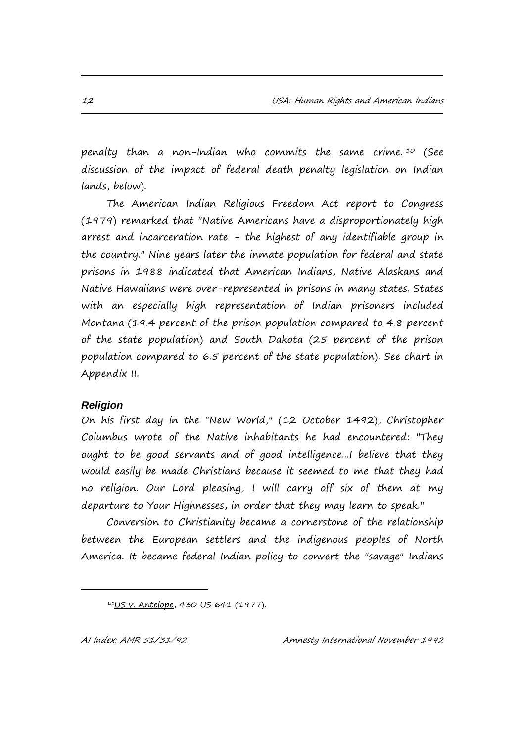penalty than a non-Indian who commits the same crime. <sup>10</sup> (See discussion of the impact of federal death penalty legislation on Indian lands, below).

The American Indian Religious Freedom Act report to Congress (1979) remarked that "Native Americans have a disproportionately high arrest and incarceration rate - the highest of any identifiable group in the country." Nine years later the inmate population for federal and state prisons in 1988 indicated that American Indians, Native Alaskans and Native Hawaiians were over-represented in prisons in many states. States with an especially high representation of Indian prisoners included Montana (19.4 percent of the prison population compared to 4.8 percent of the state population) and South Dakota (25 percent of the prison population compared to 6.5 percent of the state population). See chart in Appendix II.

### *Religion*

i.

On his first day in the "New World," (12 October 1492), Christopher Columbus wrote of the Native inhabitants he had encountered: "They ought to be good servants and of good intelligence...I believe that they would easily be made Christians because it seemed to me that they had no religion. Our Lord pleasing, I will carry off six of them at my departure to Your Highnesses, in order that they may learn to speak."

Conversion to Christianity became a cornerstone of the relationship between the European settlers and the indigenous peoples of North America. It became federal Indian policy to convert the "savage" Indians

<sup>10</sup>US v. Antelope, 430 US 641 (1977).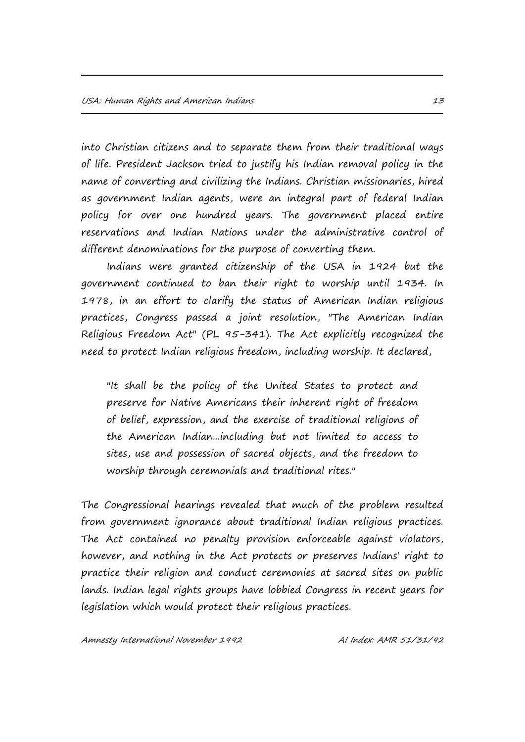into Christian citizens and to separate them from their traditional ways of life. President Jackson tried to justify his Indian removal policy in the name of converting and civilizing the Indians. Christian missionaries, hired as government Indian agents, were an integral part of federal Indian policy for over one hundred years. The government placed entire reservations and Indian Nations under the administrative control of different denominations for the purpose of converting them.

Indians were granted citizenship of the USA in 1924 but the government continued to ban their right to worship until 1934. In 1978, in an effort to clarify the status of American Indian religious practices, Congress passed a joint resolution, "The American Indian Religious Freedom Act" (PL 95-341). The Act explicitly recognized the need to protect Indian religious freedom, including worship. It declared,

"It shall be the policy of the United States to protect and preserve for Native Americans their inherent right of freedom of belief, expression, and the exercise of traditional religions of the American Indian...including but not limited to access to sites, use and possession of sacred objects, and the freedom to worship through ceremonials and traditional rites."

The Congressional hearings revealed that much of the problem resulted from government ignorance about traditional Indian religious practices. The Act contained no penalty provision enforceable against violators, however, and nothing in the Act protects or preserves Indians' right to practice their religion and conduct ceremonies at sacred sites on public lands. Indian legal rights groups have lobbied Congress in recent years for legislation which would protect their religious practices.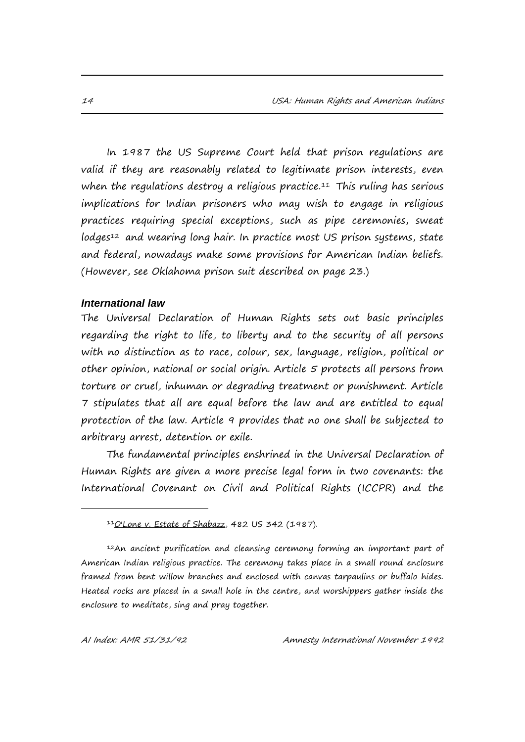In 1987 the US Supreme Court held that prison regulations are valid if they are reasonably related to legitimate prison interests, even when the regulations destroy a religious practice.<sup>11</sup> This ruling has serious implications for Indian prisoners who may wish to engage in religious practices requiring special exceptions, such as pipe ceremonies, sweat lodges<sup>12</sup> and wearing long hair. In practice most US prison systems, state and federal, nowadays make some provisions for American Indian beliefs. (However, see Oklahoma prison suit described on page 23.)

### *International law*

The Universal Declaration of Human Rights sets out basic principles regarding the right to life, to liberty and to the security of all persons with no distinction as to race, colour, sex, language, religion, political or other opinion, national or social origin. Article 5 protects all persons from torture or cruel, inhuman or degrading treatment or punishment. Article 7 stipulates that all are equal before the law and are entitled to equal protection of the law. Article 9 provides that no one shall be subjected to arbitrary arrest, detention or exile.

The fundamental principles enshrined in the Universal Declaration of Human Rights are given a more precise legal form in two covenants: the International Covenant on Civil and Political Rights (ICCPR) and the

 $110'$ Lone v. Estate of Shabazz, 482 US 342 (1987).

<sup>12</sup>An ancient purification and cleansing ceremony forming an important part of American Indian religious practice. The ceremony takes place in a small round enclosure framed from bent willow branches and enclosed with canvas tarpaulins or buffalo hides. Heated rocks are placed in a small hole in the centre, and worshippers gather inside the enclosure to meditate, sing and pray together.

i.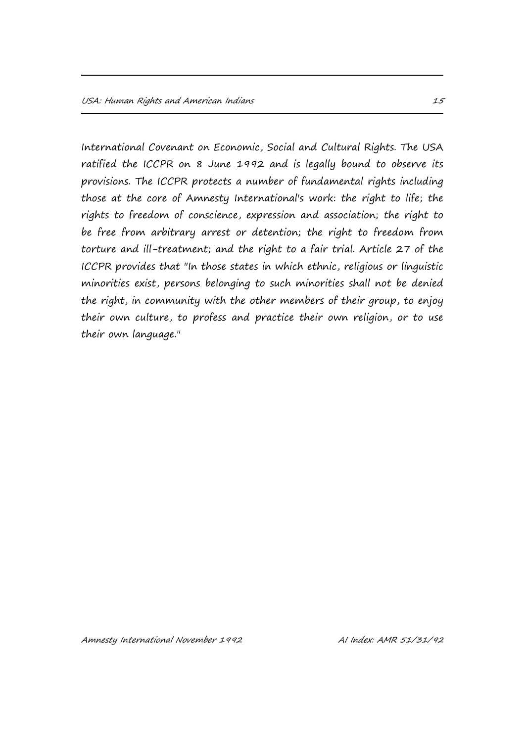International Covenant on Economic, Social and Cultural Rights. The USA ratified the ICCPR on 8 June 1992 and is legally bound to observe its provisions. The ICCPR protects a number of fundamental rights including those at the core of Amnesty International's work: the right to life; the rights to freedom of conscience, expression and association; the right to be free from arbitrary arrest or detention; the right to freedom from torture and ill-treatment; and the right to a fair trial. Article 27 of the ICCPR provides that "In those states in which ethnic, religious or linguistic minorities exist, persons belonging to such minorities shall not be denied the right, in community with the other members of their group, to enjoy their own culture, to profess and practice their own religion, or to use their own language."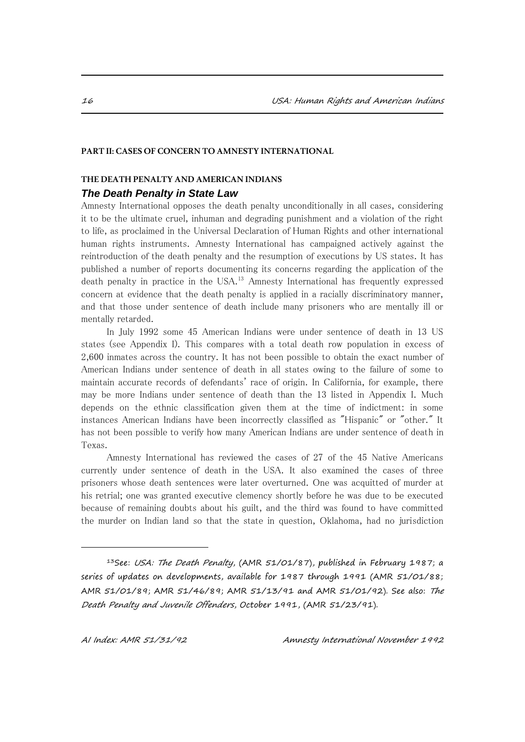#### **PART II: CASES OF CONCERN TO AMNESTY INTERNATIONAL**

### **THE DEATH PENALTY AND AMERICAN INDIANS**

### *The Death Penalty in State Law*

Amnesty International opposes the death penalty unconditionally in all cases, considering it to be the ultimate cruel, inhuman and degrading punishment and a violation of the right to life, as proclaimed in the Universal Declaration of Human Rights and other international human rights instruments. Amnesty International has campaigned actively against the reintroduction of the death penalty and the resumption of executions by US states. It has published a number of reports documenting its concerns regarding the application of the death penalty in practice in the USA.<sup>13</sup> Amnesty International has frequently expressed concern at evidence that the death penalty is applied in a racially discriminatory manner, and that those under sentence of death include many prisoners who are mentally ill or mentally retarded.

In July 1992 some 45 American Indians were under sentence of death in 13 US states (see Appendix I). This compares with a total death row population in excess of 2,600 inmates across the country. It has not been possible to obtain the exact number of American Indians under sentence of death in all states owing to the failure of some to maintain accurate records of defendants' race of origin. In California, for example, there may be more Indians under sentence of death than the 13 listed in Appendix I. Much depends on the ethnic classification given them at the time of indictment: in some instances American Indians have been incorrectly classified as "Hispanic" or "other." It has not been possible to verify how many American Indians are under sentence of death in Texas.

Amnesty International has reviewed the cases of 27 of the 45 Native Americans currently under sentence of death in the USA. It also examined the cases of three prisoners whose death sentences were later overturned. One was acquitted of murder at his retrial; one was granted executive clemency shortly before he was due to be executed because of remaining doubts about his guilt, and the third was found to have committed the murder on Indian land so that the state in question, Oklahoma, had no jurisdiction

i.

<sup>13</sup>See: USA: The Death Penalty, (AMR 51/01/87), published in February 1987; a series of updates on developments, available for 1987 through 1991 (AMR 51/01/88; AMR 51/01/89; AMR 51/46/89; AMR 51/13/91 and AMR 51/01/92). See also: The Death Penalty and Juvenile Offenders, October 1991, (AMR 51/23/91).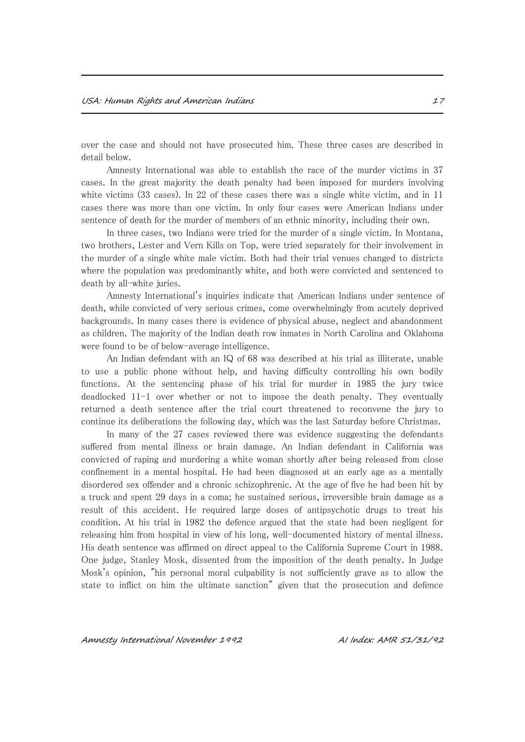over the case and should not have prosecuted him. These three cases are described in detail below.

Amnesty International was able to establish the race of the murder victims in 37 cases. In the great majority the death penalty had been imposed for murders involving white victims (33 cases). In 22 of these cases there was a single white victim, and in 11 cases there was more than one victim. In only four cases were American Indians under sentence of death for the murder of members of an ethnic minority, including their own.

In three cases, two Indians were tried for the murder of a single victim. In Montana, two brothers, Lester and Vern Kills on Top, were tried separately for their involvement in the murder of a single white male victim. Both had their trial venues changed to districts where the population was predominantly white, and both were convicted and sentenced to death by all-white juries.

Amnesty International's inquiries indicate that American Indians under sentence of death, while convicted of very serious crimes, come overwhelmingly from acutely deprived backgrounds. In many cases there is evidence of physical abuse, neglect and abandonment as children. The majority of the Indian death row inmates in North Carolina and Oklahoma were found to be of below-average intelligence.

An Indian defendant with an IQ of 68 was described at his trial as illiterate, unable to use a public phone without help, and having difficulty controlling his own bodily functions. At the sentencing phase of his trial for murder in 1985 the jury twice deadlocked 11-1 over whether or not to impose the death penalty. They eventually returned a death sentence after the trial court threatened to reconvene the jury to continue its deliberations the following day, which was the last Saturday before Christmas.

In many of the 27 cases reviewed there was evidence suggesting the defendants suffered from mental illness or brain damage. An Indian defendant in California was convicted of raping and murdering a white woman shortly after being released from close confinement in a mental hospital. He had been diagnosed at an early age as a mentally disordered sex offender and a chronic schizophrenic. At the age of five he had been hit by a truck and spent 29 days in a coma; he sustained serious, irreversible brain damage as a result of this accident. He required large doses of antipsychotic drugs to treat his condition. At his trial in 1982 the defence argued that the state had been negligent for releasing him from hospital in view of his long, well-documented history of mental illness. His death sentence was affirmed on direct appeal to the California Supreme Court in 1988. One judge, Stanley Mosk, dissented from the imposition of the death penalty. In Judge Mosk's opinion, "his personal moral culpability is not sufficiently grave as to allow the state to inflict on him the ultimate sanction" given that the prosecution and defence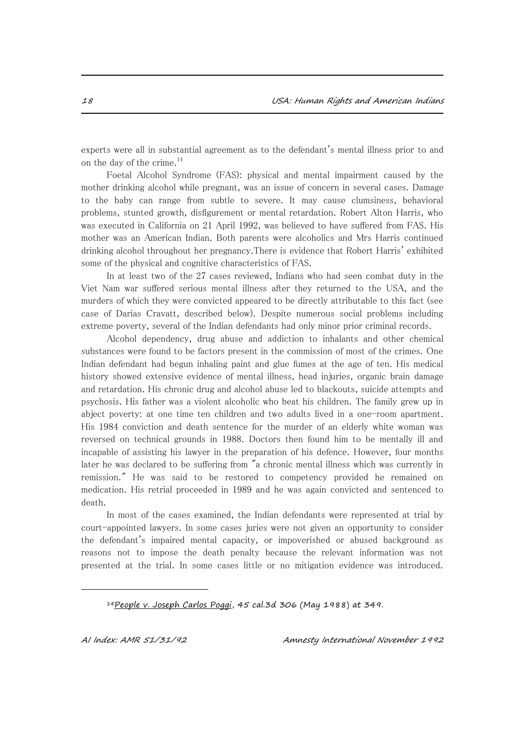experts were all in substantial agreement as to the defendant's mental illness prior to and on the day of the crime.<sup>14</sup>

Foetal Alcohol Syndrome (FAS): physical and mental impairment caused by the mother drinking alcohol while pregnant, was an issue of concern in several cases. Damage to the baby can range from subtle to severe. It may cause clumsiness, behavioral problems, stunted growth, disfigurement or mental retardation. Robert Alton Harris, who was executed in California on 21 April 1992, was believed to have suffered from FAS. His mother was an American Indian. Both parents were alcoholics and Mrs Harris continued drinking alcohol throughout her pregnancy.There is evidence that Robert Harris' exhibited some of the physical and cognitive characteristics of FAS.

In at least two of the 27 cases reviewed, Indians who had seen combat duty in the Viet Nam war suffered serious mental illness after they returned to the USA, and the murders of which they were convicted appeared to be directly attributable to this fact (see case of Darias Cravatt, described below). Despite numerous social problems including extreme poverty, several of the Indian defendants had only minor prior criminal records.

Alcohol dependency, drug abuse and addiction to inhalants and other chemical substances were found to be factors present in the commission of most of the crimes. One Indian defendant had begun inhaling paint and glue fumes at the age of ten. His medical history showed extensive evidence of mental illness, head injuries, organic brain damage and retardation. His chronic drug and alcohol abuse led to blackouts, suicide attempts and psychosis. His father was a violent alcoholic who beat his children. The family grew up in abject poverty: at one time ten children and two adults lived in a one-room apartment. His 1984 conviction and death sentence for the murder of an elderly white woman was reversed on technical grounds in 1988. Doctors then found him to be mentally ill and incapable of assisting his lawyer in the preparation of his defence. However, four months later he was declared to be suffering from "a chronic mental illness which was currently in remission." He was said to be restored to competency provided he remained on medication. His retrial proceeded in 1989 and he was again convicted and sentenced to death.

In most of the cases examined, the Indian defendants were represented at trial by court-appointed lawyers. In some cases juries were not given an opportunity to consider the defendant's impaired mental capacity, or impoverished or abused background as reasons not to impose the death penalty because the relevant information was not presented at the trial. In some cases little or no mitigation evidence was introduced.

i.

<sup>&</sup>lt;sup>14</sup> People v. Joseph Carlos Poggi, 45 cal.3d 306 (May 1988) at 349.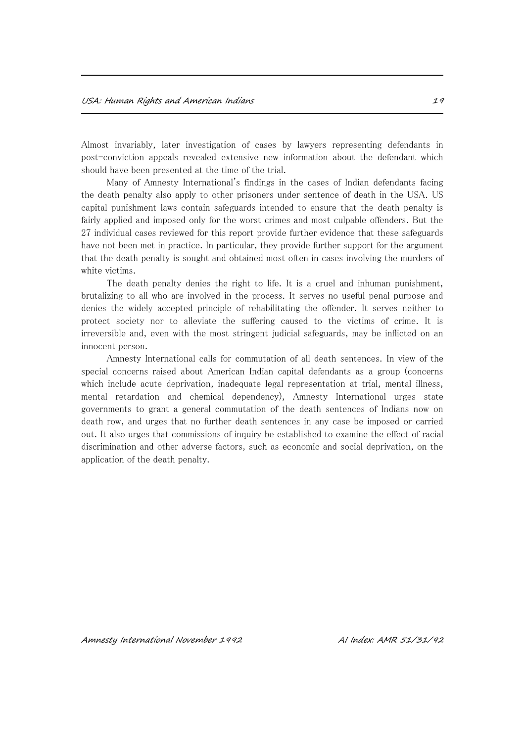Almost invariably, later investigation of cases by lawyers representing defendants in post-conviction appeals revealed extensive new information about the defendant which should have been presented at the time of the trial.

Many of Amnesty International's findings in the cases of Indian defendants facing the death penalty also apply to other prisoners under sentence of death in the USA. US capital punishment laws contain safeguards intended to ensure that the death penalty is fairly applied and imposed only for the worst crimes and most culpable offenders. But the 27 individual cases reviewed for this report provide further evidence that these safeguards have not been met in practice. In particular, they provide further support for the argument that the death penalty is sought and obtained most often in cases involving the murders of white victims.

The death penalty denies the right to life. It is a cruel and inhuman punishment, brutalizing to all who are involved in the process. It serves no useful penal purpose and denies the widely accepted principle of rehabilitating the offender. It serves neither to protect society nor to alleviate the suffering caused to the victims of crime. It is irreversible and, even with the most stringent judicial safeguards, may be inflicted on an innocent person.

Amnesty International calls for commutation of all death sentences. In view of the special concerns raised about American Indian capital defendants as a group (concerns which include acute deprivation, inadequate legal representation at trial, mental illness, mental retardation and chemical dependency), Amnesty International urges state governments to grant a general commutation of the death sentences of Indians now on death row, and urges that no further death sentences in any case be imposed or carried out. It also urges that commissions of inquiry be established to examine the effect of racial discrimination and other adverse factors, such as economic and social deprivation, on the application of the death penalty.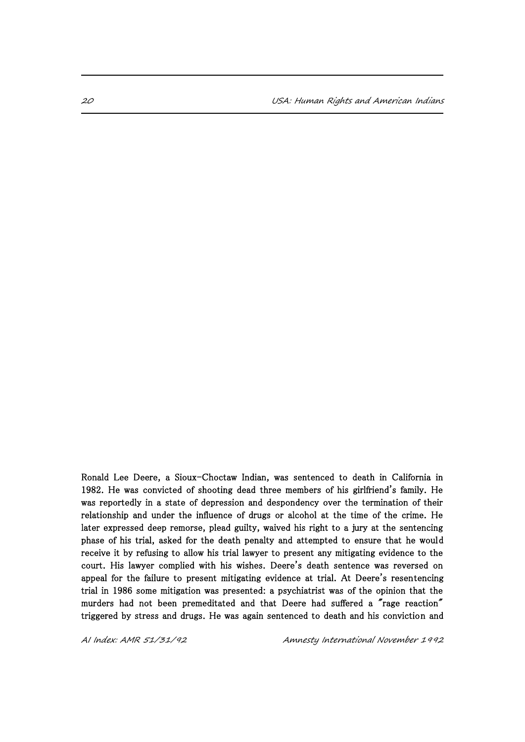<sup>20</sup> USA: Human Rights and American Indians

Ronald Lee Deere, a Sioux-Choctaw Indian, was sentenced to death in California in 1982. He was convicted of shooting dead three members of his girlfriend's family. He was reportedly in a state of depression and despondency over the termination of their relationship and under the influence of drugs or alcohol at the time of the crime. He later expressed deep remorse, plead guilty, waived his right to a jury at the sentencing phase of his trial, asked for the death penalty and attempted to ensure that he would receive it by refusing to allow his trial lawyer to present any mitigating evidence to the court. His lawyer complied with his wishes. Deere's death sentence was reversed on appeal for the failure to present mitigating evidence at trial. At Deere's resentencing trial in 1986 some mitigation was presented: a psychiatrist was of the opinion that the murders had not been premeditated and that Deere had suffered a "rage reaction" triggered by stress and drugs. He was again sentenced to death and his conviction and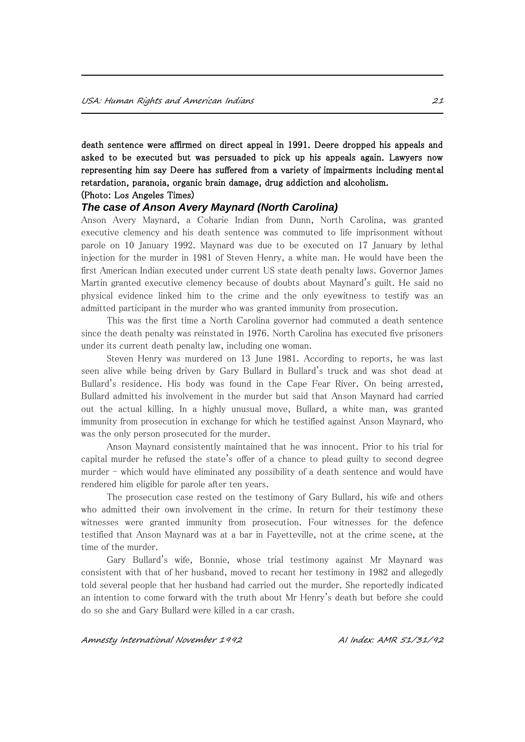death sentence were affirmed on direct appeal in 1991. Deere dropped his appeals and asked to be executed but was persuaded to pick up his appeals again. Lawyers now representing him say Deere has suffered from a variety of impairments including mental retardation, paranoia, organic brain damage, drug addiction and alcoholism.

### (Photo: Los Angeles Times)

### *The case of Anson Avery Maynard (North Carolina)*

Anson Avery Maynard, a Coharie Indian from Dunn, North Carolina, was granted executive clemency and his death sentence was commuted to life imprisonment without parole on 10 January 1992. Maynard was due to be executed on 17 January by lethal injection for the murder in 1981 of Steven Henry, a white man. He would have been the first American Indian executed under current US state death penalty laws. Governor James Martin granted executive clemency because of doubts about Maynard's guilt. He said no physical evidence linked him to the crime and the only eyewitness to testify was an admitted participant in the murder who was granted immunity from prosecution.

This was the first time a North Carolina governor had commuted a death sentence since the death penalty was reinstated in 1976. North Carolina has executed five prisoners under its current death penalty law, including one woman.

 Steven Henry was murdered on 13 June 1981. According to reports, he was last seen alive while being driven by Gary Bullard in Bullard's truck and was shot dead at Bullard's residence. His body was found in the Cape Fear River. On being arrested, Bullard admitted his involvement in the murder but said that Anson Maynard had carried out the actual killing. In a highly unusual move, Bullard, a white man, was granted immunity from prosecution in exchange for which he testified against Anson Maynard, who was the only person prosecuted for the murder.

Anson Maynard consistently maintained that he was innocent. Prior to his trial for capital murder he refused the state's offer of a chance to plead guilty to second degree murder - which would have eliminated any possibility of a death sentence and would have rendered him eligible for parole after ten years.

The prosecution case rested on the testimony of Gary Bullard, his wife and others who admitted their own involvement in the crime. In return for their testimony these witnesses were granted immunity from prosecution. Four witnesses for the defence testified that Anson Maynard was at a bar in Fayetteville, not at the crime scene, at the time of the murder.

Gary Bullard's wife, Bonnie, whose trial testimony against Mr Maynard was consistent with that of her husband, moved to recant her testimony in 1982 and allegedly told several people that her husband had carried out the murder. She reportedly indicated an intention to come forward with the truth about Mr Henry's death but before she could do so she and Gary Bullard were killed in a car crash.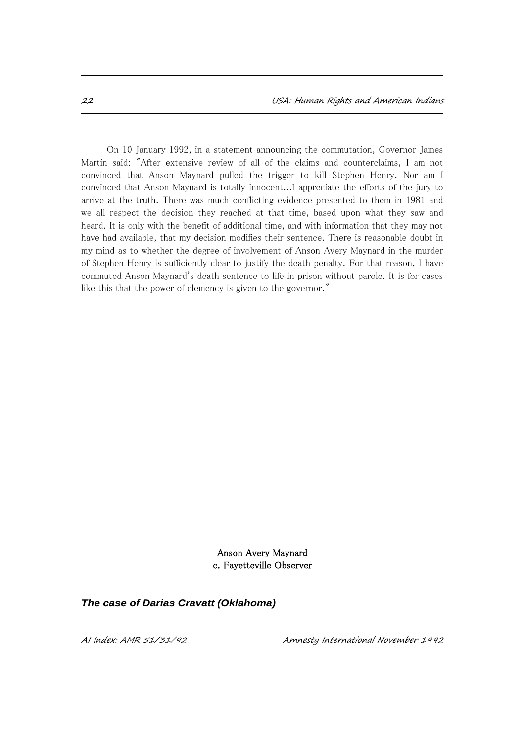On 10 January 1992, in a statement announcing the commutation, Governor James Martin said: "After extensive review of all of the claims and counterclaims, I am not convinced that Anson Maynard pulled the trigger to kill Stephen Henry. Nor am I convinced that Anson Maynard is totally innocent...I appreciate the efforts of the jury to arrive at the truth. There was much conflicting evidence presented to them in 1981 and we all respect the decision they reached at that time, based upon what they saw and heard. It is only with the benefit of additional time, and with information that they may not have had available, that my decision modifies their sentence. There is reasonable doubt in my mind as to whether the degree of involvement of Anson Avery Maynard in the murder of Stephen Henry is sufficiently clear to justify the death penalty. For that reason, I have commuted Anson Maynard's death sentence to life in prison without parole. It is for cases like this that the power of clemency is given to the governor."

> Anson Avery Maynard c. Fayetteville Observer

*The case of Darias Cravatt (Oklahoma)*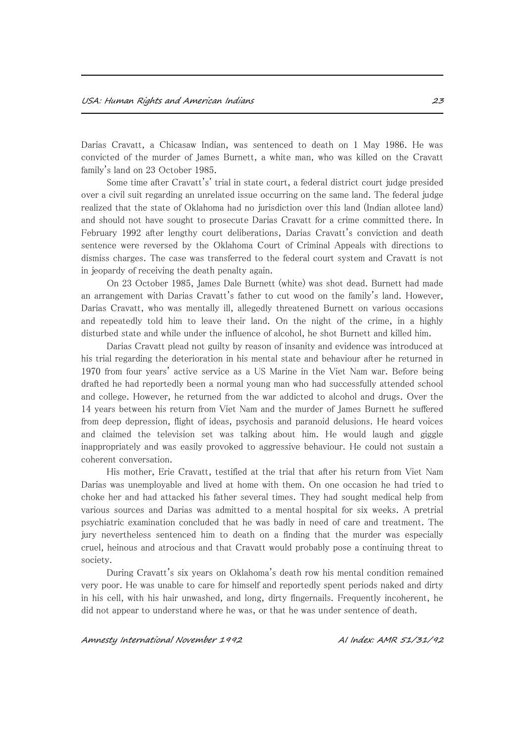Darias Cravatt, a Chicasaw Indian, was sentenced to death on 1 May 1986. He was convicted of the murder of James Burnett, a white man, who was killed on the Cravatt family's land on 23 October 1985.

Some time after Cravatt's' trial in state court, a federal district court judge presided over a civil suit regarding an unrelated issue occurring on the same land. The federal judge realized that the state of Oklahoma had no jurisdiction over this land (Indian allotee land) and should not have sought to prosecute Darias Cravatt for a crime committed there. In February 1992 after lengthy court deliberations, Darias Cravatt's conviction and death sentence were reversed by the Oklahoma Court of Criminal Appeals with directions to dismiss charges. The case was transferred to the federal court system and Cravatt is not in jeopardy of receiving the death penalty again.

On 23 October 1985, James Dale Burnett (white) was shot dead. Burnett had made an arrangement with Darias Cravatt's father to cut wood on the family's land. However, Darias Cravatt, who was mentally ill, allegedly threatened Burnett on various occasions and repeatedly told him to leave their land. On the night of the crime, in a highly disturbed state and while under the influence of alcohol, he shot Burnett and killed him.

Darias Cravatt plead not guilty by reason of insanity and evidence was introduced at his trial regarding the deterioration in his mental state and behaviour after he returned in 1970 from four years' active service as a US Marine in the Viet Nam war. Before being drafted he had reportedly been a normal young man who had successfully attended school and college. However, he returned from the war addicted to alcohol and drugs. Over the 14 years between his return from Viet Nam and the murder of James Burnett he suffered from deep depression, flight of ideas, psychosis and paranoid delusions. He heard voices and claimed the television set was talking about him. He would laugh and giggle inappropriately and was easily provoked to aggressive behaviour. He could not sustain a coherent conversation.

His mother, Erie Cravatt, testified at the trial that after his return from Viet Nam Darias was unemployable and lived at home with them. On one occasion he had tried to choke her and had attacked his father several times. They had sought medical help from various sources and Darias was admitted to a mental hospital for six weeks. A pretrial psychiatric examination concluded that he was badly in need of care and treatment. The jury nevertheless sentenced him to death on a finding that the murder was especially cruel, heinous and atrocious and that Cravatt would probably pose a continuing threat to society.

During Cravatt's six years on Oklahoma's death row his mental condition remained very poor. He was unable to care for himself and reportedly spent periods naked and dirty in his cell, with his hair unwashed, and long, dirty fingernails. Frequently incoherent, he did not appear to understand where he was, or that he was under sentence of death.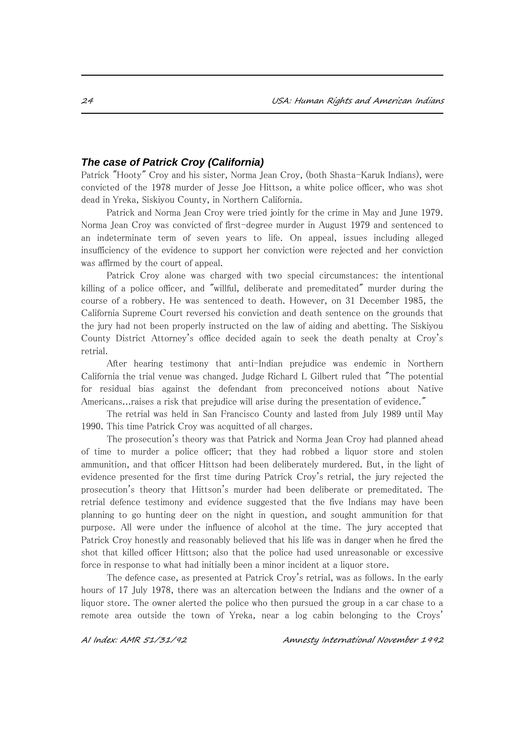### *The case of Patrick Croy (California)*

Patrick "Hooty" Croy and his sister, Norma Jean Croy, (both Shasta-Karuk Indians), were convicted of the 1978 murder of Jesse Joe Hittson, a white police officer, who was shot dead in Yreka, Siskiyou County, in Northern California.

Patrick and Norma Jean Croy were tried jointly for the crime in May and June 1979. Norma Jean Croy was convicted of first-degree murder in August 1979 and sentenced to an indeterminate term of seven years to life. On appeal, issues including alleged insufficiency of the evidence to support her conviction were rejected and her conviction was affirmed by the court of appeal.

Patrick Croy alone was charged with two special circumstances: the intentional killing of a police officer, and "willful, deliberate and premeditated" murder during the course of a robbery. He was sentenced to death. However, on 31 December 1985, the California Supreme Court reversed his conviction and death sentence on the grounds that the jury had not been properly instructed on the law of aiding and abetting. The Siskiyou County District Attorney's office decided again to seek the death penalty at Croy's retrial.

After hearing testimony that anti-Indian prejudice was endemic in Northern California the trial venue was changed. Judge Richard L Gilbert ruled that "The potential for residual bias against the defendant from preconceived notions about Native Americans...raises a risk that prejudice will arise during the presentation of evidence."

The retrial was held in San Francisco County and lasted from July 1989 until May 1990. This time Patrick Croy was acquitted of all charges.

The prosecution's theory was that Patrick and Norma Jean Croy had planned ahead of time to murder a police officer; that they had robbed a liquor store and stolen ammunition, and that officer Hittson had been deliberately murdered. But, in the light of evidence presented for the first time during Patrick Croy's retrial, the jury rejected the prosecution's theory that Hittson's murder had been deliberate or premeditated. The retrial defence testimony and evidence suggested that the five Indians may have been planning to go hunting deer on the night in question, and sought ammunition for that purpose. All were under the influence of alcohol at the time. The jury accepted that Patrick Croy honestly and reasonably believed that his life was in danger when he fired the shot that killed officer Hittson; also that the police had used unreasonable or excessive force in response to what had initially been a minor incident at a liquor store.

The defence case, as presented at Patrick Croy's retrial, was as follows. In the early hours of 17 July 1978, there was an altercation between the Indians and the owner of a liquor store. The owner alerted the police who then pursued the group in a car chase to a remote area outside the town of Yreka, near a log cabin belonging to the Croys'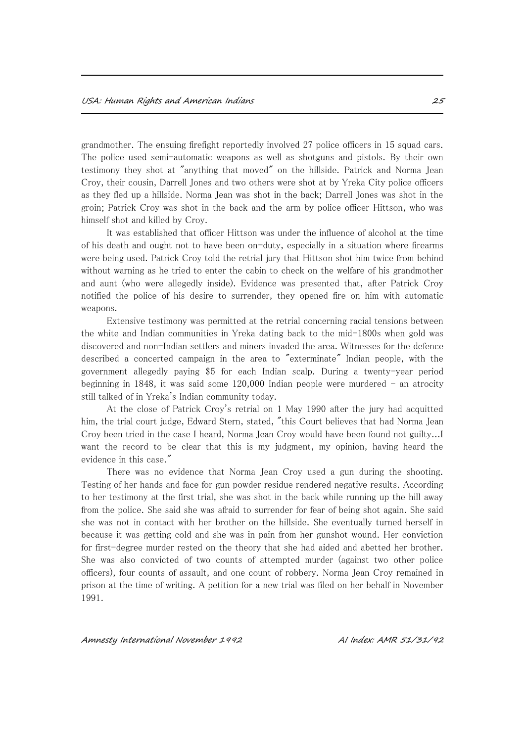grandmother. The ensuing firefight reportedly involved 27 police officers in 15 squad cars. The police used semi-automatic weapons as well as shotguns and pistols. By their own testimony they shot at "anything that moved" on the hillside. Patrick and Norma Jean Croy, their cousin, Darrell Jones and two others were shot at by Yreka City police officers as they fled up a hillside. Norma Jean was shot in the back; Darrell Jones was shot in the groin; Patrick Croy was shot in the back and the arm by police officer Hittson, who was himself shot and killed by Croy.

It was established that officer Hittson was under the influence of alcohol at the time of his death and ought not to have been on-duty, especially in a situation where firearms were being used. Patrick Croy told the retrial jury that Hittson shot him twice from behind without warning as he tried to enter the cabin to check on the welfare of his grandmother and aunt (who were allegedly inside). Evidence was presented that, after Patrick Croy notified the police of his desire to surrender, they opened fire on him with automatic weapons.

Extensive testimony was permitted at the retrial concerning racial tensions between the white and Indian communities in Yreka dating back to the mid-1800s when gold was discovered and non-Indian settlers and miners invaded the area. Witnesses for the defence described a concerted campaign in the area to "exterminate" Indian people, with the government allegedly paying \$5 for each Indian scalp. During a twenty-year period beginning in 1848, it was said some  $120,000$  Indian people were murdered  $-$  an atrocity still talked of in Yreka's Indian community today.

At the close of Patrick Croy's retrial on 1 May 1990 after the jury had acquitted him, the trial court judge, Edward Stern, stated, "this Court believes that had Norma Jean Croy been tried in the case I heard, Norma Jean Croy would have been found not guilty...I want the record to be clear that this is my judgment, my opinion, having heard the evidence in this case."

There was no evidence that Norma Jean Croy used a gun during the shooting. Testing of her hands and face for gun powder residue rendered negative results. According to her testimony at the first trial, she was shot in the back while running up the hill away from the police. She said she was afraid to surrender for fear of being shot again. She said she was not in contact with her brother on the hillside. She eventually turned herself in because it was getting cold and she was in pain from her gunshot wound. Her conviction for first-degree murder rested on the theory that she had aided and abetted her brother. She was also convicted of two counts of attempted murder (against two other police officers), four counts of assault, and one count of robbery. Norma Jean Croy remained in prison at the time of writing. A petition for a new trial was filed on her behalf in November 1991.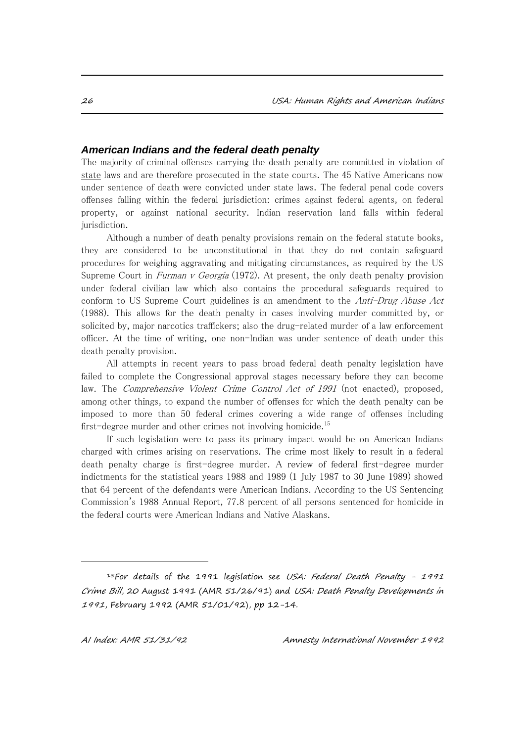### *American Indians and the federal death penalty*

The majority of criminal offenses carrying the death penalty are committed in violation of state laws and are therefore prosecuted in the state courts. The 45 Native Americans now under sentence of death were convicted under state laws. The federal penal code covers offenses falling within the federal jurisdiction: crimes against federal agents, on federal property, or against national security. Indian reservation land falls within federal jurisdiction.

Although a number of death penalty provisions remain on the federal statute books, they are considered to be unconstitutional in that they do not contain safeguard procedures for weighing aggravating and mitigating circumstances, as required by the US Supreme Court in Furman v Georgia (1972). At present, the only death penalty provision under federal civilian law which also contains the procedural safeguards required to conform to US Supreme Court guidelines is an amendment to the Anti-Drug Abuse Act (1988). This allows for the death penalty in cases involving murder committed by, or solicited by, major narcotics traffickers; also the drug-related murder of a law enforcement officer. At the time of writing, one non-Indian was under sentence of death under this death penalty provision.

All attempts in recent years to pass broad federal death penalty legislation have failed to complete the Congressional approval stages necessary before they can become law. The *Comprehensive Violent Crime Control Act of 1991* (not enacted), proposed, among other things, to expand the number of offenses for which the death penalty can be imposed to more than 50 federal crimes covering a wide range of offenses including first-degree murder and other crimes not involving homicide.<sup>15</sup>

If such legislation were to pass its primary impact would be on American Indians charged with crimes arising on reservations. The crime most likely to result in a federal death penalty charge is first-degree murder. A review of federal first-degree murder indictments for the statistical years 1988 and 1989 (1 July 1987 to 30 June 1989) showed that 64 percent of the defendants were American Indians. According to the US Sentencing Commission's 1988 Annual Report, 77.8 percent of all persons sentenced for homicide in the federal courts were American Indians and Native Alaskans.

i.

<sup>15</sup>For details of the 1991 legislation see USA: Federal Death Penalty - 1991 Crime Bill, 20 August 1991 (AMR 51/26/91) and USA: Death Penalty Developments in 1991, February 1992 (AMR 51/01/92), pp 12-14.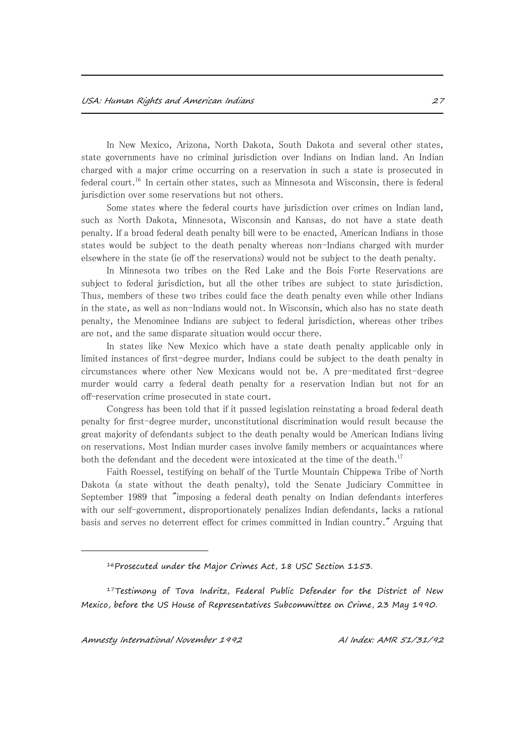In New Mexico, Arizona, North Dakota, South Dakota and several other states, state governments have no criminal jurisdiction over Indians on Indian land. An Indian charged with a major crime occurring on a reservation in such a state is prosecuted in federal court.<sup>16</sup> In certain other states, such as Minnesota and Wisconsin, there is federal jurisdiction over some reservations but not others.

Some states where the federal courts have jurisdiction over crimes on Indian land, such as North Dakota, Minnesota, Wisconsin and Kansas, do not have a state death penalty. If a broad federal death penalty bill were to be enacted, American Indians in those states would be subject to the death penalty whereas non-Indians charged with murder elsewhere in the state (ie off the reservations) would not be subject to the death penalty.

In Minnesota two tribes on the Red Lake and the Bois Forte Reservations are subject to federal jurisdiction, but all the other tribes are subject to state jurisdiction. Thus, members of these two tribes could face the death penalty even while other Indians in the state, as well as non-Indians would not. In Wisconsin, which also has no state death penalty, the Menominee Indians are subject to federal jurisdiction, whereas other tribes are not, and the same disparate situation would occur there.

In states like New Mexico which have a state death penalty applicable only in limited instances of first-degree murder, Indians could be subject to the death penalty in circumstances where other New Mexicans would not be. A pre-meditated first-degree murder would carry a federal death penalty for a reservation Indian but not for an off-reservation crime prosecuted in state court.

Congress has been told that if it passed legislation reinstating a broad federal death penalty for first-degree murder, unconstitutional discrimination would result because the great majority of defendants subject to the death penalty would be American Indians living on reservations. Most Indian murder cases involve family members or acquaintances where both the defendant and the decedent were intoxicated at the time of the death.<sup>17</sup>

Faith Roessel, testifying on behalf of the Turtle Mountain Chippewa Tribe of North Dakota (a state without the death penalty), told the Senate Judiciary Committee in September 1989 that "imposing a federal death penalty on Indian defendants interferes with our self-government, disproportionately penalizes Indian defendants, lacks a rational basis and serves no deterrent effect for crimes committed in Indian country." Arguing that

i.

<sup>16</sup>Prosecuted under the Major Crimes Act, 18 USC Section 1153.

 $17$ Testimony of Tova Indritz, Federal Public Defender for the District of New Mexico, before the US House of Representatives Subcommittee on Crime, 23 May 1990.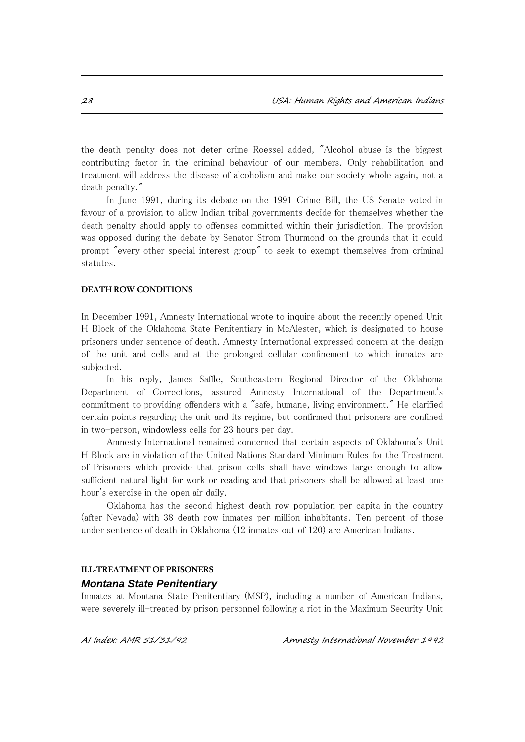the death penalty does not deter crime Roessel added, "Alcohol abuse is the biggest contributing factor in the criminal behaviour of our members. Only rehabilitation and treatment will address the disease of alcoholism and make our society whole again, not a death penalty."

In June 1991, during its debate on the 1991 Crime Bill, the US Senate voted in favour of a provision to allow Indian tribal governments decide for themselves whether the death penalty should apply to offenses committed within their jurisdiction. The provision was opposed during the debate by Senator Strom Thurmond on the grounds that it could prompt "every other special interest group" to seek to exempt themselves from criminal statutes.

#### **DEATH ROW CONDITIONS**

In December 1991, Amnesty International wrote to inquire about the recently opened Unit H Block of the Oklahoma State Penitentiary in McAlester, which is designated to house prisoners under sentence of death. Amnesty International expressed concern at the design of the unit and cells and at the prolonged cellular confinement to which inmates are subjected.

In his reply, James Saffle, Southeastern Regional Director of the Oklahoma Department of Corrections, assured Amnesty International of the Department's commitment to providing offenders with a "safe, humane, living environment." He clarified certain points regarding the unit and its regime, but confirmed that prisoners are confined in two-person, windowless cells for 23 hours per day.

Amnesty International remained concerned that certain aspects of Oklahoma's Unit H Block are in violation of the United Nations Standard Minimum Rules for the Treatment of Prisoners which provide that prison cells shall have windows large enough to allow sufficient natural light for work or reading and that prisoners shall be allowed at least one hour's exercise in the open air daily.

Oklahoma has the second highest death row population per capita in the country (after Nevada) with 38 death row inmates per million inhabitants. Ten percent of those under sentence of death in Oklahoma (12 inmates out of 120) are American Indians.

#### **ILL-TREATMENT OF PRISONERS**

### *Montana State Penitentiary*

Inmates at Montana State Penitentiary (MSP), including a number of American Indians, were severely ill-treated by prison personnel following a riot in the Maximum Security Unit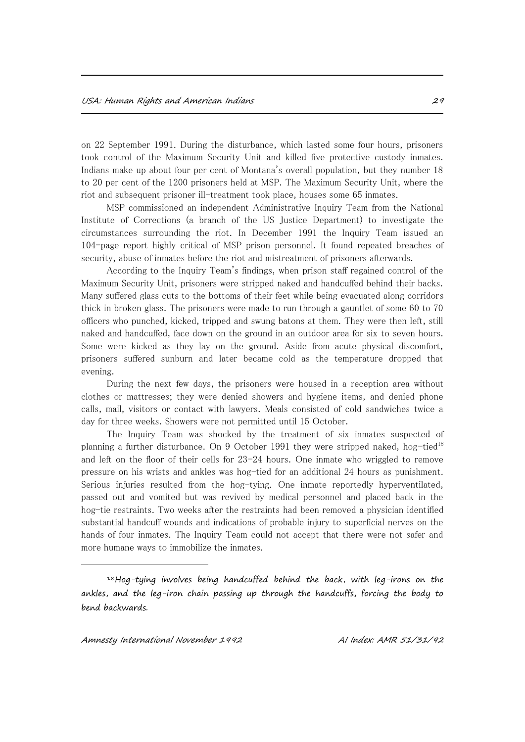on 22 September 1991. During the disturbance, which lasted some four hours, prisoners took control of the Maximum Security Unit and killed five protective custody inmates. Indians make up about four per cent of Montana's overall population, but they number 18 to 20 per cent of the 1200 prisoners held at MSP. The Maximum Security Unit, where the riot and subsequent prisoner ill-treatment took place, houses some 65 inmates.

MSP commissioned an independent Administrative Inquiry Team from the National Institute of Corrections (a branch of the US Justice Department) to investigate the circumstances surrounding the riot. In December 1991 the Inquiry Team issued an 104-page report highly critical of MSP prison personnel. It found repeated breaches of security, abuse of inmates before the riot and mistreatment of prisoners afterwards.

According to the Inquiry Team's findings, when prison staff regained control of the Maximum Security Unit, prisoners were stripped naked and handcuffed behind their backs. Many suffered glass cuts to the bottoms of their feet while being evacuated along corridors thick in broken glass. The prisoners were made to run through a gauntlet of some 60 to 70 officers who punched, kicked, tripped and swung batons at them. They were then left, still naked and handcuffed, face down on the ground in an outdoor area for six to seven hours. Some were kicked as they lay on the ground. Aside from acute physical discomfort, prisoners suffered sunburn and later became cold as the temperature dropped that evening.

During the next few days, the prisoners were housed in a reception area without clothes or mattresses; they were denied showers and hygiene items, and denied phone calls, mail, visitors or contact with lawyers. Meals consisted of cold sandwiches twice a day for three weeks. Showers were not permitted until 15 October.

The Inquiry Team was shocked by the treatment of six inmates suspected of planning a further disturbance. On 9 October 1991 they were stripped naked, hog-tied<sup>18</sup> and left on the floor of their cells for 23-24 hours. One inmate who wriggled to remove pressure on his wrists and ankles was hog-tied for an additional 24 hours as punishment. Serious injuries resulted from the hog-tying. One inmate reportedly hyperventilated, passed out and vomited but was revived by medical personnel and placed back in the hog-tie restraints. Two weeks after the restraints had been removed a physician identified substantial handcuff wounds and indications of probable injury to superficial nerves on the hands of four inmates. The Inquiry Team could not accept that there were not safer and more humane ways to immobilize the inmates.

i<br>I

 $18$  Hog-tying involves being handcuffed behind the back, with leg-irons on the ankles, and the leg-iron chain passing up through the handcuffs, forcing the body to bend backwards.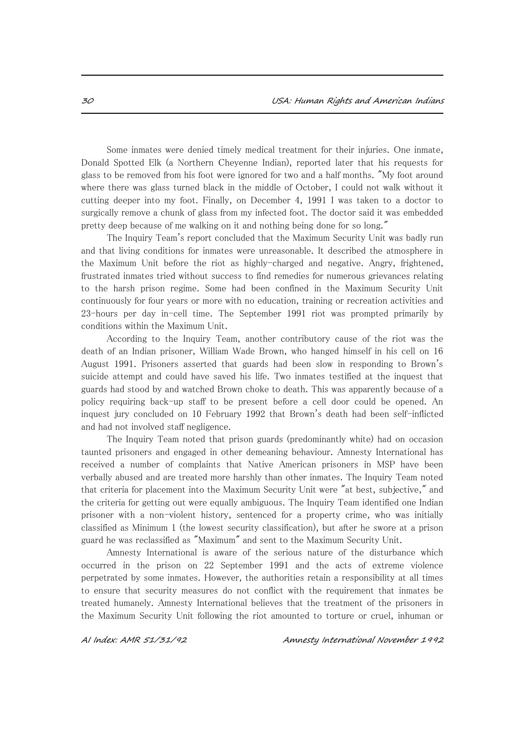Some inmates were denied timely medical treatment for their injuries. One inmate, Donald Spotted Elk (a Northern Cheyenne Indian), reported later that his requests for glass to be removed from his foot were ignored for two and a half months. "My foot around where there was glass turned black in the middle of October, I could not walk without it cutting deeper into my foot. Finally, on December 4, 1991 I was taken to a doctor to surgically remove a chunk of glass from my infected foot. The doctor said it was embedded pretty deep because of me walking on it and nothing being done for so long."

The Inquiry Team's report concluded that the Maximum Security Unit was badly run and that living conditions for inmates were unreasonable. It described the atmosphere in the Maximum Unit before the riot as highly-charged and negative. Angry, frightened, frustrated inmates tried without success to find remedies for numerous grievances relating to the harsh prison regime. Some had been confined in the Maximum Security Unit continuously for four years or more with no education, training or recreation activities and 23-hours per day in-cell time. The September 1991 riot was prompted primarily by conditions within the Maximum Unit.

According to the Inquiry Team, another contributory cause of the riot was the death of an Indian prisoner, William Wade Brown, who hanged himself in his cell on 16 August 1991. Prisoners asserted that guards had been slow in responding to Brown's suicide attempt and could have saved his life. Two inmates testified at the inquest that guards had stood by and watched Brown choke to death. This was apparently because of a policy requiring back-up staff to be present before a cell door could be opened. An inquest jury concluded on 10 February 1992 that Brown's death had been self-inflicted and had not involved staff negligence.

The Inquiry Team noted that prison guards (predominantly white) had on occasion taunted prisoners and engaged in other demeaning behaviour. Amnesty International has received a number of complaints that Native American prisoners in MSP have been verbally abused and are treated more harshly than other inmates. The Inquiry Team noted that criteria for placement into the Maximum Security Unit were "at best, subjective," and the criteria for getting out were equally ambiguous. The Inquiry Team identified one Indian prisoner with a non-violent history, sentenced for a property crime, who was initially classified as Minimum 1 (the lowest security classification), but after he swore at a prison guard he was reclassified as "Maximum" and sent to the Maximum Security Unit.

Amnesty International is aware of the serious nature of the disturbance which occurred in the prison on 22 September 1991 and the acts of extreme violence perpetrated by some inmates. However, the authorities retain a responsibility at all times to ensure that security measures do not conflict with the requirement that inmates be treated humanely. Amnesty International believes that the treatment of the prisoners in the Maximum Security Unit following the riot amounted to torture or cruel, inhuman or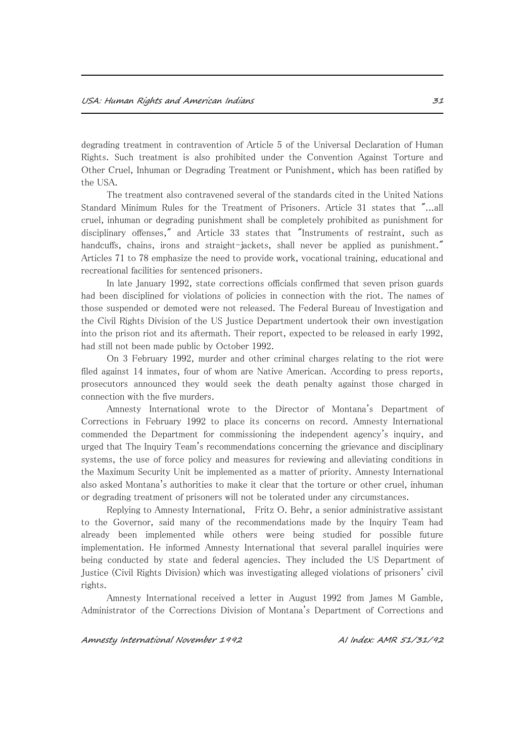degrading treatment in contravention of Article 5 of the Universal Declaration of Human Rights. Such treatment is also prohibited under the Convention Against Torture and Other Cruel, Inhuman or Degrading Treatment or Punishment, which has been ratified by the USA.

The treatment also contravened several of the standards cited in the United Nations Standard Minimum Rules for the Treatment of Prisoners. Article 31 states that "...all cruel, inhuman or degrading punishment shall be completely prohibited as punishment for disciplinary offenses," and Article 33 states that "Instruments of restraint, such as handcuffs, chains, irons and straight-jackets, shall never be applied as punishment." Articles 71 to 78 emphasize the need to provide work, vocational training, educational and recreational facilities for sentenced prisoners.

In late January 1992, state corrections officials confirmed that seven prison guards had been disciplined for violations of policies in connection with the riot. The names of those suspended or demoted were not released. The Federal Bureau of Investigation and the Civil Rights Division of the US Justice Department undertook their own investigation into the prison riot and its aftermath. Their report, expected to be released in early 1992, had still not been made public by October 1992.

On 3 February 1992, murder and other criminal charges relating to the riot were filed against 14 inmates, four of whom are Native American. According to press reports, prosecutors announced they would seek the death penalty against those charged in connection with the five murders.

Amnesty International wrote to the Director of Montana's Department of Corrections in February 1992 to place its concerns on record. Amnesty International commended the Department for commissioning the independent agency's inquiry, and urged that The Inquiry Team's recommendations concerning the grievance and disciplinary systems, the use of force policy and measures for reviewing and alleviating conditions in the Maximum Security Unit be implemented as a matter of priority. Amnesty International also asked Montana's authorities to make it clear that the torture or other cruel, inhuman or degrading treatment of prisoners will not be tolerated under any circumstances.

Replying to Amnesty International, Fritz O. Behr, a senior administrative assistant to the Governor, said many of the recommendations made by the Inquiry Team had already been implemented while others were being studied for possible future implementation. He informed Amnesty International that several parallel inquiries were being conducted by state and federal agencies. They included the US Department of Justice (Civil Rights Division) which was investigating alleged violations of prisoners' civil rights.

Amnesty International received a letter in August 1992 from James M Gamble, Administrator of the Corrections Division of Montana's Department of Corrections and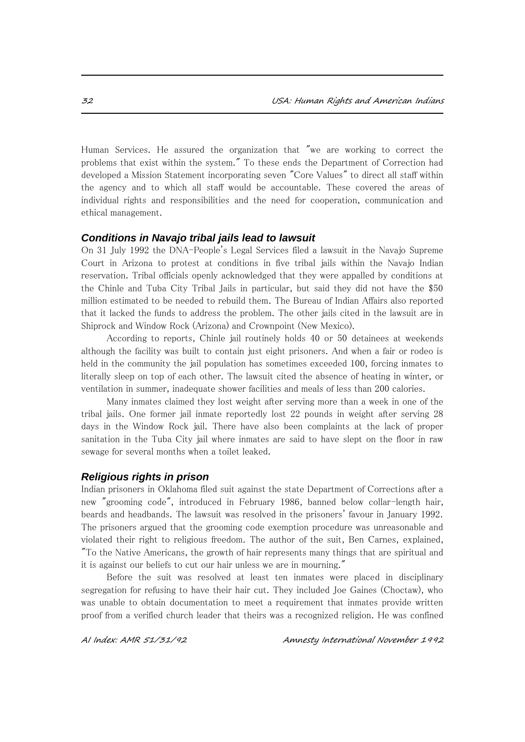Human Services. He assured the organization that "we are working to correct the problems that exist within the system." To these ends the Department of Correction had developed a Mission Statement incorporating seven "Core Values" to direct all staff within the agency and to which all staff would be accountable. These covered the areas of individual rights and responsibilities and the need for cooperation, communication and ethical management.

### *Conditions in Navajo tribal jails lead to lawsuit*

On 31 July 1992 the DNA-People's Legal Services filed a lawsuit in the Navajo Supreme Court in Arizona to protest at conditions in five tribal jails within the Navajo Indian reservation. Tribal officials openly acknowledged that they were appalled by conditions at the Chinle and Tuba City Tribal Jails in particular, but said they did not have the \$50 million estimated to be needed to rebuild them. The Bureau of Indian Affairs also reported that it lacked the funds to address the problem. The other jails cited in the lawsuit are in Shiprock and Window Rock (Arizona) and Crownpoint (New Mexico).

According to reports, Chinle jail routinely holds 40 or 50 detainees at weekends although the facility was built to contain just eight prisoners. And when a fair or rodeo is held in the community the jail population has sometimes exceeded 100, forcing inmates to literally sleep on top of each other. The lawsuit cited the absence of heating in winter, or ventilation in summer, inadequate shower facilities and meals of less than 200 calories.

Many inmates claimed they lost weight after serving more than a week in one of the tribal jails. One former jail inmate reportedly lost 22 pounds in weight after serving 28 days in the Window Rock jail. There have also been complaints at the lack of proper sanitation in the Tuba City jail where inmates are said to have slept on the floor in raw sewage for several months when a toilet leaked.

#### *Religious rights in prison*

Indian prisoners in Oklahoma filed suit against the state Department of Corrections after a new "grooming code", introduced in February 1986, banned below collar-length hair, beards and headbands. The lawsuit was resolved in the prisoners' favour in January 1992. The prisoners argued that the grooming code exemption procedure was unreasonable and violated their right to religious freedom. The author of the suit, Ben Carnes, explained, "To the Native Americans, the growth of hair represents many things that are spiritual and it is against our beliefs to cut our hair unless we are in mourning."

Before the suit was resolved at least ten inmates were placed in disciplinary segregation for refusing to have their hair cut. They included Joe Gaines (Choctaw), who was unable to obtain documentation to meet a requirement that inmates provide written proof from a verified church leader that theirs was a recognized religion. He was confined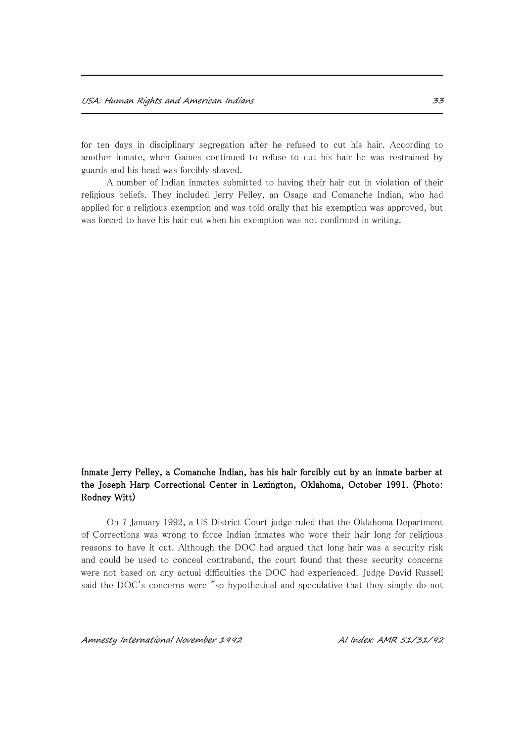for ten days in disciplinary segregation after he refused to cut his hair. According to another inmate, when Gaines continued to refuse to cut his hair he was restrained by guards and his head was forcibly shaved.

A number of Indian inmates submitted to having their hair cut in violation of their religious beliefs. They included Jerry Pelley, an Osage and Comanche Indian, who had applied for a religious exemption and was told orally that his exemption was approved, but was forced to have his hair cut when his exemption was not confirmed in writing.

### Inmate Jerry Pelley, a Comanche Indian, has his hair forcibly cut by an inmate barber at the Joseph Harp Correctional Center in Lexington, Oklahoma, October 1991. (Photo: Rodney Witt)

On 7 January 1992, a US District Court judge ruled that the Oklahoma Department of Corrections was wrong to force Indian inmates who wore their hair long for religious reasons to have it cut. Although the DOC had argued that long hair was a security risk and could be used to conceal contraband, the court found that these security concerns were not based on any actual difficulties the DOC had experienced. Judge David Russell said the DOC's concerns were "so hypothetical and speculative that they simply do not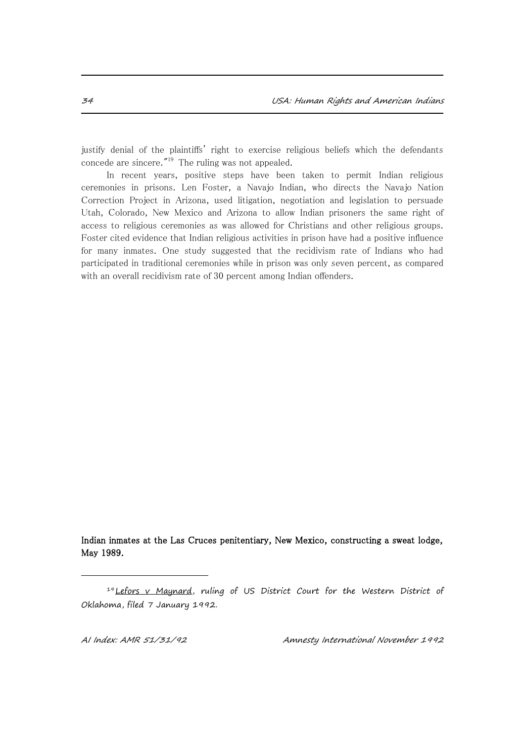justify denial of the plaintiffs' right to exercise religious beliefs which the defendants concede are sincere."<sup>19</sup> The ruling was not appealed.

In recent years, positive steps have been taken to permit Indian religious ceremonies in prisons. Len Foster, a Navajo Indian, who directs the Navajo Nation Correction Project in Arizona, used litigation, negotiation and legislation to persuade Utah, Colorado, New Mexico and Arizona to allow Indian prisoners the same right of access to religious ceremonies as was allowed for Christians and other religious groups. Foster cited evidence that Indian religious activities in prison have had a positive influence for many inmates. One study suggested that the recidivism rate of Indians who had participated in traditional ceremonies while in prison was only seven percent, as compared with an overall recidivism rate of 30 percent among Indian offenders.

Indian inmates at the Las Cruces penitentiary, New Mexico, constructing a sweat lodge, May 1989.

i<br>I

<sup>&</sup>lt;sup>19</sup> Lefors v Maynard, ruling of US District Court for the Western District of Oklahoma, filed 7 January 1992.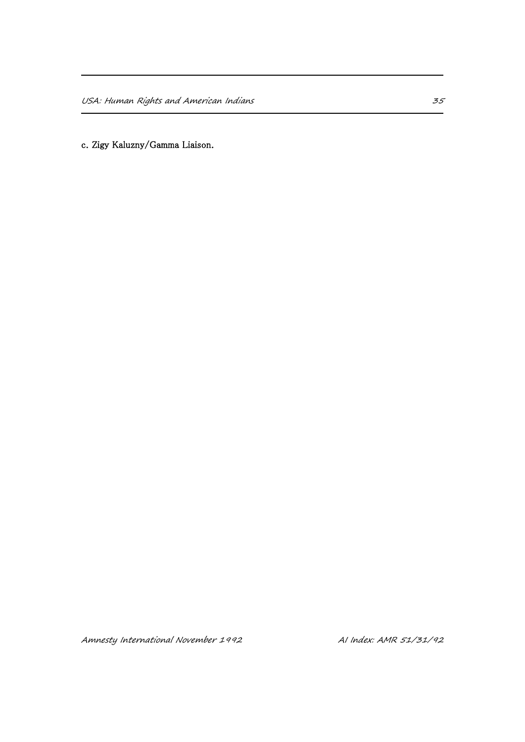c. Zigy Kaluzny/Gamma Liaison.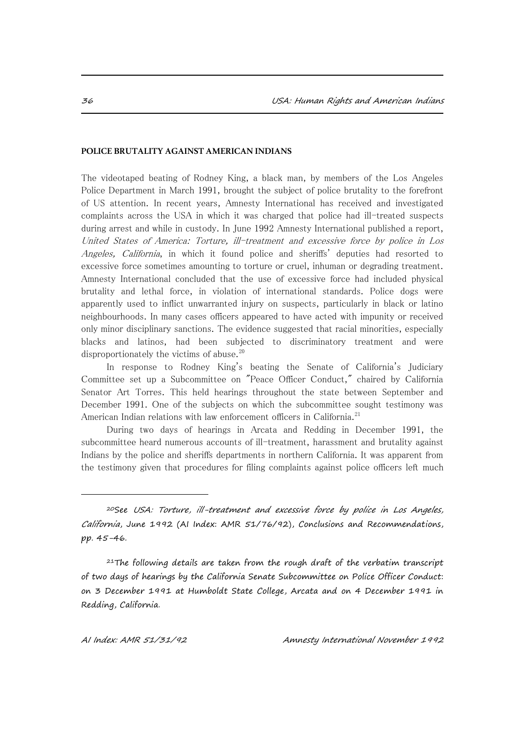### **POLICE BRUTALITY AGAINST AMERICAN INDIANS**

The videotaped beating of Rodney King, a black man, by members of the Los Angeles Police Department in March 1991, brought the subject of police brutality to the forefront of US attention. In recent years, Amnesty International has received and investigated complaints across the USA in which it was charged that police had ill-treated suspects during arrest and while in custody. In June 1992 Amnesty International published a report, United States of America: Torture, ill-treatment and excessive force by police in Los Angeles, California, in which it found police and sheriffs' deputies had resorted to excessive force sometimes amounting to torture or cruel, inhuman or degrading treatment. Amnesty International concluded that the use of excessive force had included physical brutality and lethal force, in violation of international standards. Police dogs were apparently used to inflict unwarranted injury on suspects, particularly in black or latino neighbourhoods. In many cases officers appeared to have acted with impunity or received only minor disciplinary sanctions. The evidence suggested that racial minorities, especially blacks and latinos, had been subjected to discriminatory treatment and were disproportionately the victims of abuse.<sup>20</sup>

In response to Rodney King's beating the Senate of California's Judiciary Committee set up a Subcommittee on "Peace Officer Conduct," chaired by California Senator Art Torres. This held hearings throughout the state between September and December 1991. One of the subjects on which the subcommittee sought testimony was American Indian relations with law enforcement officers in California.<sup>21</sup>

During two days of hearings in Arcata and Redding in December 1991, the subcommittee heard numerous accounts of ill-treatment, harassment and brutality against Indians by the police and sheriffs departments in northern California. It was apparent from the testimony given that procedures for filing complaints against police officers left much

 $21$ The following details are taken from the rough draft of the verbatim transcript of two days of hearings by the California Senate Subcommittee on Police Officer Conduct: on 3 December 1991 at Humboldt State College, Arcata and on 4 December 1991 in Redding, California.

i<br>I

<sup>20</sup>See USA: Torture, ill-treatment and excessive force by police in Los Angeles, California, June 1992 (AI Index: AMR 51/76/92), Conclusions and Recommendations, pp. 45-46.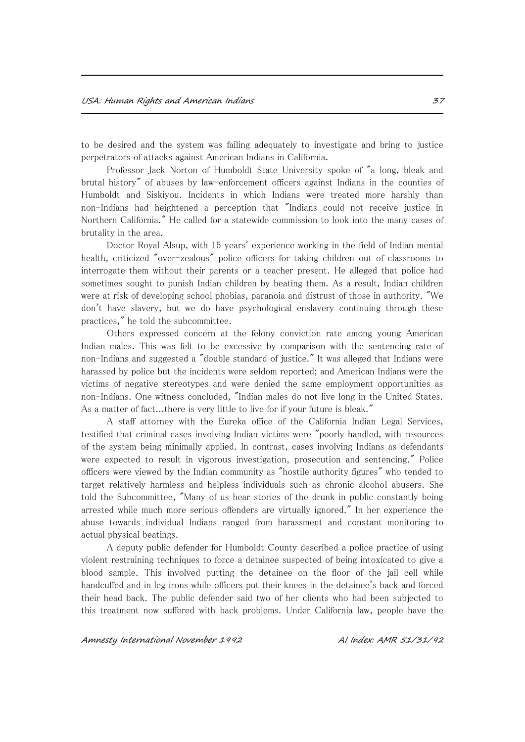to be desired and the system was failing adequately to investigate and bring to justice perpetrators of attacks against American Indians in California.

Professor Jack Norton of Humboldt State University spoke of "a long, bleak and brutal history" of abuses by law-enforcement officers against Indians in the counties of Humboldt and Siskiyou. Incidents in which Indians were treated more harshly than non-Indians had heightened a perception that "Indians could not receive justice in Northern California." He called for a statewide commission to look into the many cases of brutality in the area.

Doctor Royal Alsup, with 15 years' experience working in the field of Indian mental health, criticized "over-zealous" police officers for taking children out of classrooms to interrogate them without their parents or a teacher present. He alleged that police had sometimes sought to punish Indian children by beating them. As a result, Indian children were at risk of developing school phobias, paranoia and distrust of those in authority. "We don't have slavery, but we do have psychological enslavery continuing through these practices," he told the subcommittee.

Others expressed concern at the felony conviction rate among young American Indian males. This was felt to be excessive by comparison with the sentencing rate of non-Indians and suggested a "double standard of justice." It was alleged that Indians were harassed by police but the incidents were seldom reported; and American Indians were the victims of negative stereotypes and were denied the same employment opportunities as non-Indians. One witness concluded, "Indian males do not live long in the United States. As a matter of fact...there is very little to live for if your future is bleak."

A staff attorney with the Eureka office of the California Indian Legal Services, testified that criminal cases involving Indian victims were "poorly handled, with resources of the system being minimally applied. In contrast, cases involving Indians as defendants were expected to result in vigorous investigation, prosecution and sentencing." Police officers were viewed by the Indian community as "hostile authority figures" who tended to target relatively harmless and helpless individuals such as chronic alcohol abusers. She told the Subcommittee, "Many of us hear stories of the drunk in public constantly being arrested while much more serious offenders are virtually ignored." In her experience the abuse towards individual Indians ranged from harassment and constant monitoring to actual physical beatings.

A deputy public defender for Humboldt County described a police practice of using violent restraining techniques to force a detainee suspected of being intoxicated to give a blood sample. This involved putting the detainee on the floor of the jail cell while handcuffed and in leg irons while officers put their knees in the detainee's back and forced their head back. The public defender said two of her clients who had been subjected to this treatment now suffered with back problems. Under California law, people have the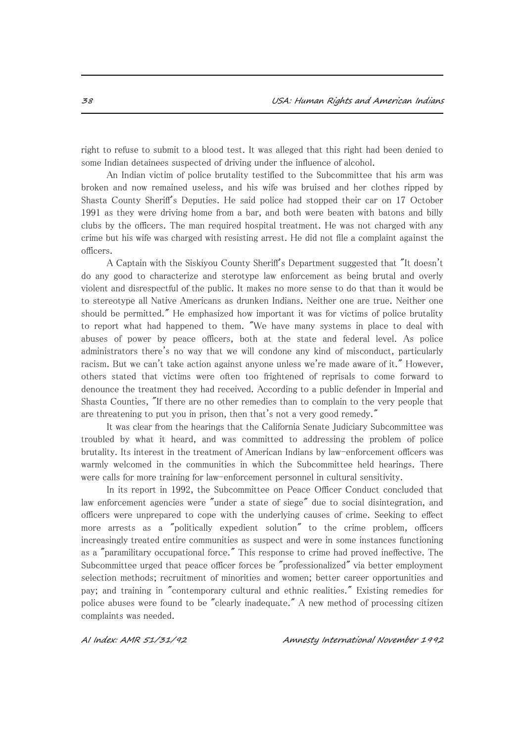right to refuse to submit to a blood test. It was alleged that this right had been denied to some Indian detainees suspected of driving under the influence of alcohol.

An Indian victim of police brutality testified to the Subcommittee that his arm was broken and now remained useless, and his wife was bruised and her clothes ripped by Shasta County Sheriff's Deputies. He said police had stopped their car on 17 October 1991 as they were driving home from a bar, and both were beaten with batons and billy clubs by the officers. The man required hospital treatment. He was not charged with any crime but his wife was charged with resisting arrest. He did not file a complaint against the officers.

A Captain with the Siskiyou County Sheriff's Department suggested that "It doesn't do any good to characterize and sterotype law enforcement as being brutal and overly violent and disrespectful of the public. It makes no more sense to do that than it would be to stereotype all Native Americans as drunken Indians. Neither one are true. Neither one should be permitted." He emphasized how important it was for victims of police brutality to report what had happened to them. "We have many systems in place to deal with abuses of power by peace officers, both at the state and federal level. As police administrators there's no way that we will condone any kind of misconduct, particularly racism. But we can't take action against anyone unless we're made aware of it." However, others stated that victims were often too frightened of reprisals to come forward to denounce the treatment they had received. According to a public defender in Imperial and Shasta Counties, "If there are no other remedies than to complain to the very people that are threatening to put you in prison, then that's not a very good remedy."

It was clear from the hearings that the California Senate Judiciary Subcommittee was troubled by what it heard, and was committed to addressing the problem of police brutality. Its interest in the treatment of American Indians by law-enforcement officers was warmly welcomed in the communities in which the Subcommittee held hearings. There were calls for more training for law-enforcement personnel in cultural sensitivity.

In its report in 1992, the Subcommittee on Peace Officer Conduct concluded that law enforcement agencies were "under a state of siege" due to social disintegration, and officers were unprepared to cope with the underlying causes of crime. Seeking to effect more arrests as a "politically expedient solution" to the crime problem, officers increasingly treated entire communities as suspect and were in some instances functioning as a "paramilitary occupational force." This response to crime had proved ineffective. The Subcommittee urged that peace officer forces be "professionalized" via better employment selection methods; recruitment of minorities and women; better career opportunities and pay; and training in "contemporary cultural and ethnic realities." Existing remedies for police abuses were found to be "clearly inadequate." A new method of processing citizen complaints was needed.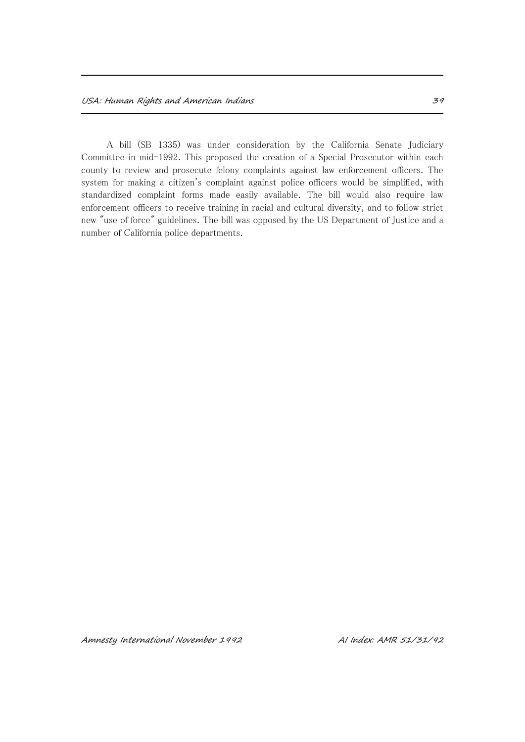A bill (SB 1335) was under consideration by the California Senate Judiciary Committee in mid-1992. This proposed the creation of a Special Prosecutor within each county to review and prosecute felony complaints against law enforcement officers. The system for making a citizen's complaint against police officers would be simplified, with standardized complaint forms made easily available. The bill would also require law enforcement officers to receive training in racial and cultural diversity, and to follow strict new "use of force" guidelines. The bill was opposed by the US Department of Justice and a number of California police departments.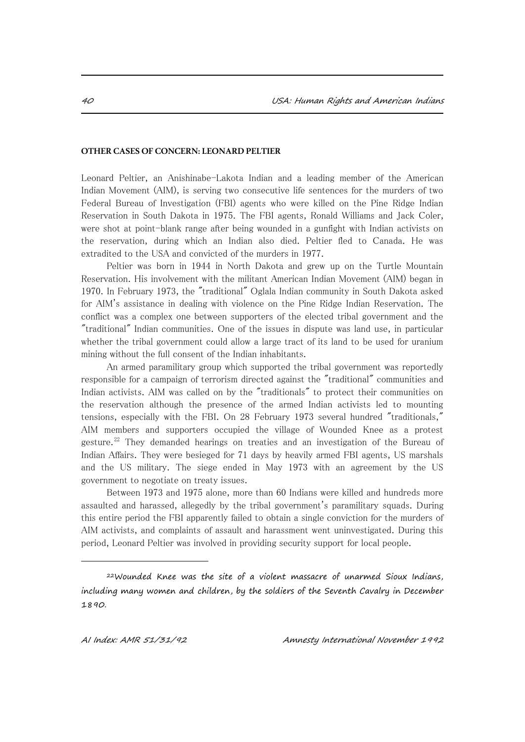### **OTHER CASES OF CONCERN: LEONARD PELTIER**

Leonard Peltier, an Anishinabe-Lakota Indian and a leading member of the American Indian Movement (AIM), is serving two consecutive life sentences for the murders of two Federal Bureau of Investigation (FBI) agents who were killed on the Pine Ridge Indian Reservation in South Dakota in 1975. The FBI agents, Ronald Williams and Jack Coler, were shot at point-blank range after being wounded in a gunfight with Indian activists on the reservation, during which an Indian also died. Peltier fled to Canada. He was extradited to the USA and convicted of the murders in 1977.

Peltier was born in 1944 in North Dakota and grew up on the Turtle Mountain Reservation. His involvement with the militant American Indian Movement (AIM) began in 1970. In February 1973, the "traditional" Oglala Indian community in South Dakota asked for AIM's assistance in dealing with violence on the Pine Ridge Indian Reservation. The conflict was a complex one between supporters of the elected tribal government and the "traditional" Indian communities. One of the issues in dispute was land use, in particular whether the tribal government could allow a large tract of its land to be used for uranium mining without the full consent of the Indian inhabitants.

An armed paramilitary group which supported the tribal government was reportedly responsible for a campaign of terrorism directed against the "traditional" communities and Indian activists. AIM was called on by the "traditionals" to protect their communities on the reservation although the presence of the armed Indian activists led to mounting tensions, especially with the FBI. On 28 February 1973 several hundred "traditionals," AIM members and supporters occupied the village of Wounded Knee as a protest gesture.<sup>22</sup> They demanded hearings on treaties and an investigation of the Bureau of Indian Affairs. They were besieged for 71 days by heavily armed FBI agents, US marshals and the US military. The siege ended in May 1973 with an agreement by the US government to negotiate on treaty issues.

Between 1973 and 1975 alone, more than 60 Indians were killed and hundreds more assaulted and harassed, allegedly by the tribal government's paramilitary squads. During this entire period the FBI apparently failed to obtain a single conviction for the murders of AIM activists, and complaints of assault and harassment went uninvestigated. During this period, Leonard Peltier was involved in providing security support for local people.

i.

<sup>22</sup>Wounded Knee was the site of a violent massacre of unarmed Sioux Indians, including many women and children, by the soldiers of the Seventh Cavalry in December 1890.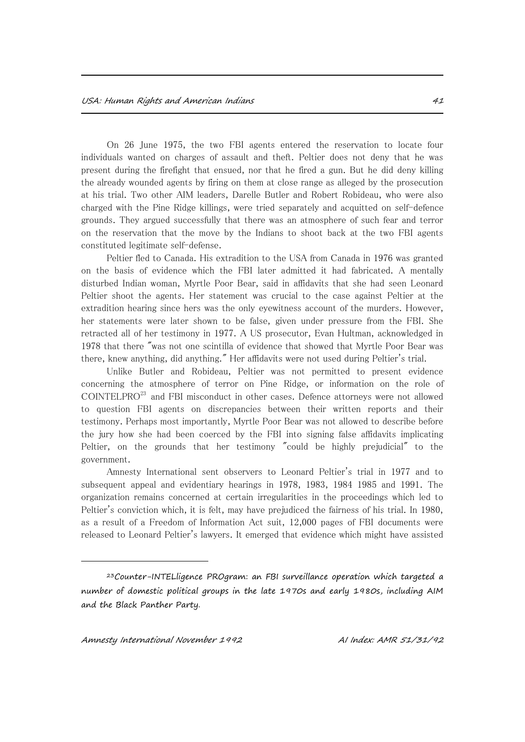On 26 June 1975, the two FBI agents entered the reservation to locate four individuals wanted on charges of assault and theft. Peltier does not deny that he was present during the firefight that ensued, nor that he fired a gun. But he did deny killing the already wounded agents by firing on them at close range as alleged by the prosecution at his trial. Two other AIM leaders, Darelle Butler and Robert Robideau, who were also charged with the Pine Ridge killings, were tried separately and acquitted on self-defence grounds. They argued successfully that there was an atmosphere of such fear and terror on the reservation that the move by the Indians to shoot back at the two FBI agents constituted legitimate self-defense.

Peltier fled to Canada. His extradition to the USA from Canada in 1976 was granted on the basis of evidence which the FBI later admitted it had fabricated. A mentally disturbed Indian woman, Myrtle Poor Bear, said in affidavits that she had seen Leonard Peltier shoot the agents. Her statement was crucial to the case against Peltier at the extradition hearing since hers was the only eyewitness account of the murders. However, her statements were later shown to be false, given under pressure from the FBI. She retracted all of her testimony in 1977. A US prosecutor, Evan Hultman, acknowledged in 1978 that there "was not one scintilla of evidence that showed that Myrtle Poor Bear was there, knew anything, did anything." Her affidavits were not used during Peltier's trial.

Unlike Butler and Robideau, Peltier was not permitted to present evidence concerning the atmosphere of terror on Pine Ridge, or information on the role of COINTELPRO<sup>23</sup> and FBI misconduct in other cases. Defence attorneys were not allowed to question FBI agents on discrepancies between their written reports and their testimony. Perhaps most importantly, Myrtle Poor Bear was not allowed to describe before the jury how she had been coerced by the FBI into signing false affidavits implicating Peltier, on the grounds that her testimony "could be highly prejudicial" to the government.

Amnesty International sent observers to Leonard Peltier's trial in 1977 and to subsequent appeal and evidentiary hearings in 1978, 1983, 1984 1985 and 1991. The organization remains concerned at certain irregularities in the proceedings which led to Peltier's conviction which, it is felt, may have prejudiced the fairness of his trial. In 1980, as a result of a Freedom of Information Act suit, 12,000 pages of FBI documents were released to Leonard Peltier's lawyers. It emerged that evidence which might have assisted

i.

<sup>23</sup>Counter-INTELligence PROgram: an FBI surveillance operation which targeted a number of domestic political groups in the late 1970s and early 1980s, including AIM and the Black Panther Party.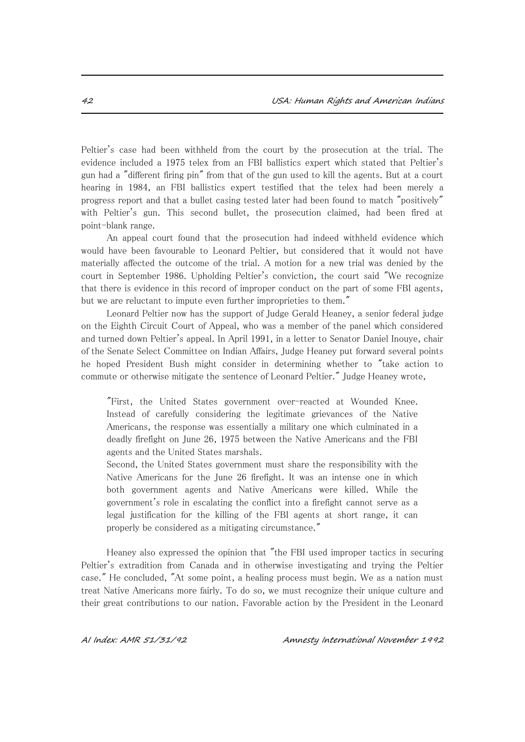Peltier's case had been withheld from the court by the prosecution at the trial. The evidence included a 1975 telex from an FBI ballistics expert which stated that Peltier's gun had a "different firing pin" from that of the gun used to kill the agents. But at a court hearing in 1984, an FBI ballistics expert testified that the telex had been merely a progress report and that a bullet casing tested later had been found to match "positively" with Peltier's gun. This second bullet, the prosecution claimed, had been fired at point-blank range.

An appeal court found that the prosecution had indeed withheld evidence which would have been favourable to Leonard Peltier, but considered that it would not have materially affected the outcome of the trial. A motion for a new trial was denied by the court in September 1986. Upholding Peltier's conviction, the court said "We recognize that there is evidence in this record of improper conduct on the part of some FBI agents, but we are reluctant to impute even further improprieties to them."

Leonard Peltier now has the support of Judge Gerald Heaney, a senior federal judge on the Eighth Circuit Court of Appeal, who was a member of the panel which considered and turned down Peltier's appeal. In April 1991, in a letter to Senator Daniel Inouye, chair of the Senate Select Committee on Indian Affairs, Judge Heaney put forward several points he hoped President Bush might consider in determining whether to "take action to commute or otherwise mitigate the sentence of Leonard Peltier." Judge Heaney wrote,

"First, the United States government over-reacted at Wounded Knee. Instead of carefully considering the legitimate grievances of the Native Americans, the response was essentially a military one which culminated in a deadly firefight on June 26, 1975 between the Native Americans and the FBI agents and the United States marshals.

Second, the United States government must share the responsibility with the Native Americans for the June 26 firefight. It was an intense one in which both government agents and Native Americans were killed. While the government's role in escalating the conflict into a firefight cannot serve as a legal justification for the killing of the FBI agents at short range, it can properly be considered as a mitigating circumstance."

Heaney also expressed the opinion that "the FBI used improper tactics in securing Peltier's extradition from Canada and in otherwise investigating and trying the Peltier case." He concluded, "At some point, a healing process must begin. We as a nation must treat Native Americans more fairly. To do so, we must recognize their unique culture and their great contributions to our nation. Favorable action by the President in the Leonard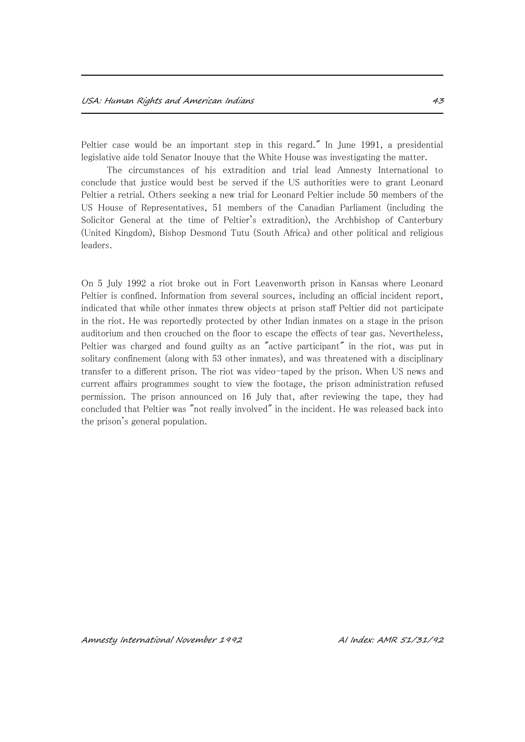Peltier case would be an important step in this regard." In June 1991, a presidential legislative aide told Senator Inouye that the White House was investigating the matter.

The circumstances of his extradition and trial lead Amnesty International to conclude that justice would best be served if the US authorities were to grant Leonard Peltier a retrial. Others seeking a new trial for Leonard Peltier include 50 members of the US House of Representatives, 51 members of the Canadian Parliament (including the Solicitor General at the time of Peltier's extradition), the Archbishop of Canterbury (United Kingdom), Bishop Desmond Tutu (South Africa) and other political and religious leaders.

On 5 July 1992 a riot broke out in Fort Leavenworth prison in Kansas where Leonard Peltier is confined. Information from several sources, including an official incident report, indicated that while other inmates threw objects at prison staff Peltier did not participate in the riot. He was reportedly protected by other Indian inmates on a stage in the prison auditorium and then crouched on the floor to escape the effects of tear gas. Nevertheless, Peltier was charged and found guilty as an "active participant" in the riot, was put in solitary confinement (along with 53 other inmates), and was threatened with a disciplinary transfer to a different prison. The riot was video-taped by the prison. When US news and current affairs programmes sought to view the footage, the prison administration refused permission. The prison announced on 16 July that, after reviewing the tape, they had concluded that Peltier was "not really involved" in the incident. He was released back into the prison's general population.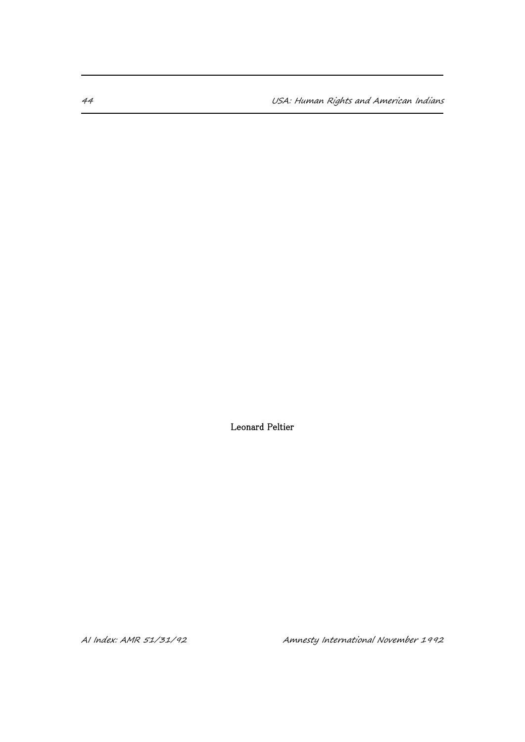<sup>44</sup> USA: Human Rights and American Indians

Leonard Peltier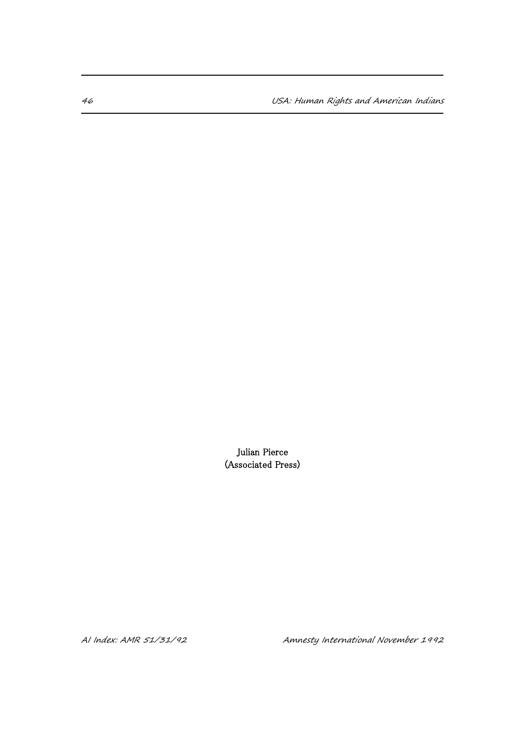<sup>46</sup> USA: Human Rights and American Indians

Julian Pierce (Associated Press)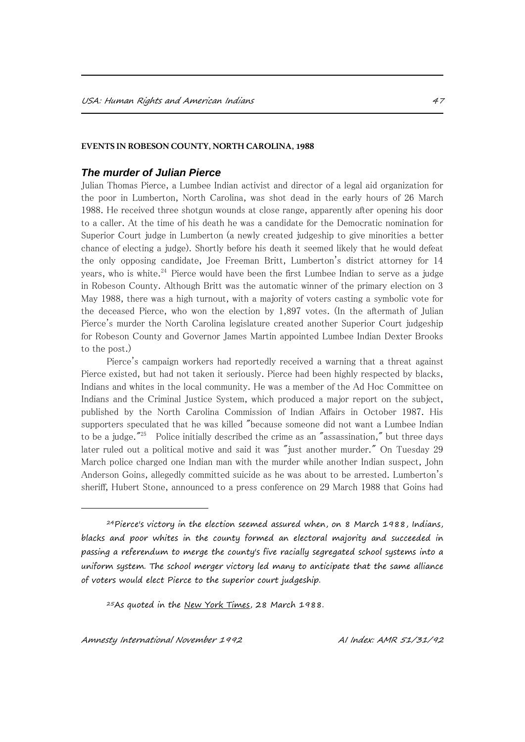#### **EVENTS IN ROBESON COUNTY, NORTH CAROLINA, 1988**

### *The murder of Julian Pierce*

Julian Thomas Pierce, a Lumbee Indian activist and director of a legal aid organization for the poor in Lumberton, North Carolina, was shot dead in the early hours of 26 March 1988. He received three shotgun wounds at close range, apparently after opening his door to a caller. At the time of his death he was a candidate for the Democratic nomination for Superior Court judge in Lumberton (a newly created judgeship to give minorities a better chance of electing a judge). Shortly before his death it seemed likely that he would defeat the only opposing candidate, Joe Freeman Britt, Lumberton's district attorney for 14 years, who is white.<sup>24</sup> Pierce would have been the first Lumbee Indian to serve as a judge in Robeson County. Although Britt was the automatic winner of the primary election on 3 May 1988, there was a high turnout, with a majority of voters casting a symbolic vote for the deceased Pierce, who won the election by 1,897 votes. (In the aftermath of Julian Pierce's murder the North Carolina legislature created another Superior Court judgeship for Robeson County and Governor James Martin appointed Lumbee Indian Dexter Brooks to the post.)

Pierce's campaign workers had reportedly received a warning that a threat against Pierce existed, but had not taken it seriously. Pierce had been highly respected by blacks, Indians and whites in the local community. He was a member of the Ad Hoc Committee on Indians and the Criminal Justice System, which produced a major report on the subject, published by the North Carolina Commission of Indian Affairs in October 1987. His supporters speculated that he was killed "because someone did not want a Lumbee Indian to be a judge."<sup>25</sup> Police initially described the crime as an "assassination," but three days later ruled out a political motive and said it was "just another murder." On Tuesday 29 March police charged one Indian man with the murder while another Indian suspect, John Anderson Goins, allegedly committed suicide as he was about to be arrested. Lumberton's sheriff, Hubert Stone, announced to a press conference on 29 March 1988 that Goins had

<sup>24</sup>Pierce's victory in the election seemed assured when, on 8 March 1988, Indians, blacks and poor whites in the county formed an electoral majority and succeeded in passing a referendum to merge the county's five racially segregated school systems into a uniform system. The school merger victory led many to anticipate that the same alliance of voters would elect Pierce to the superior court judgeship.

<sup>25</sup>As quoted in the <u>New York Times</u>, 28 March 1988.

Amnesty International November 1992 AI Index: AMR 51/31/92

i.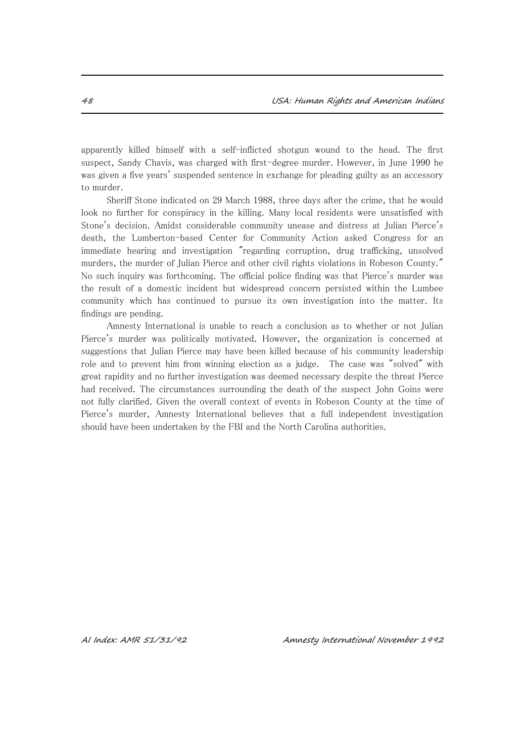apparently killed himself with a self-inflicted shotgun wound to the head. The first suspect, Sandy Chavis, was charged with first-degree murder. However, in June 1990 he was given a five years' suspended sentence in exchange for pleading guilty as an accessory to murder.

Sheriff Stone indicated on 29 March 1988, three days after the crime, that he would look no further for conspiracy in the killing. Many local residents were unsatisfied with Stone's decision. Amidst considerable community unease and distress at Julian Pierce's death, the Lumberton-based Center for Community Action asked Congress for an immediate hearing and investigation "regarding corruption, drug trafficking, unsolved murders, the murder of Julian Pierce and other civil rights violations in Robeson County." No such inquiry was forthcoming. The official police finding was that Pierce's murder was the result of a domestic incident but widespread concern persisted within the Lumbee community which has continued to pursue its own investigation into the matter. Its findings are pending.

Amnesty International is unable to reach a conclusion as to whether or not Julian Pierce's murder was politically motivated. However, the organization is concerned at suggestions that Julian Pierce may have been killed because of his community leadership role and to prevent him from winning election as a judge. The case was "solved" with great rapidity and no further investigation was deemed necessary despite the threat Pierce had received. The circumstances surrounding the death of the suspect John Goins were not fully clarified. Given the overall context of events in Robeson County at the time of Pierce's murder, Amnesty International believes that a full independent investigation should have been undertaken by the FBI and the North Carolina authorities.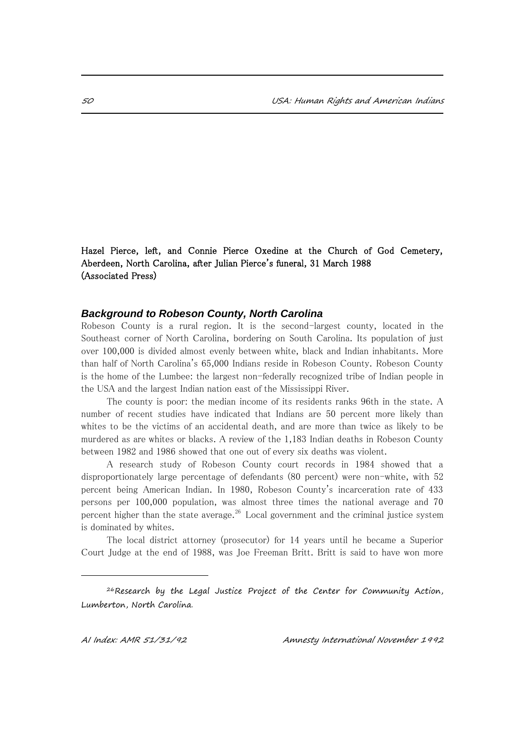Hazel Pierce, left, and Connie Pierce Oxedine at the Church of God Cemetery, Aberdeen, North Carolina, after Julian Pierce's funeral, 31 March 1988 (Associated Press)

### *Background to Robeson County, North Carolina*

Robeson County is a rural region. It is the second-largest county, located in the Southeast corner of North Carolina, bordering on South Carolina. Its population of just over 100,000 is divided almost evenly between white, black and Indian inhabitants. More than half of North Carolina's 65,000 Indians reside in Robeson County. Robeson County is the home of the Lumbee: the largest non-federally recognized tribe of Indian people in the USA and the largest Indian nation east of the Mississippi River.

The county is poor: the median income of its residents ranks 96th in the state. A number of recent studies have indicated that Indians are 50 percent more likely than whites to be the victims of an accidental death, and are more than twice as likely to be murdered as are whites or blacks. A review of the 1,183 Indian deaths in Robeson County between 1982 and 1986 showed that one out of every six deaths was violent.

A research study of Robeson County court records in 1984 showed that a disproportionately large percentage of defendants (80 percent) were non-white, with 52 percent being American Indian. In 1980, Robeson County's incarceration rate of 433 persons per 100,000 population, was almost three times the national average and 70 percent higher than the state average. $^{26}$  Local government and the criminal justice system is dominated by whites.

The local district attorney (prosecutor) for 14 years until he became a Superior Court Judge at the end of 1988, was Joe Freeman Britt. Britt is said to have won more

 $26$ Research by the Legal Justice Project of the Center for Community Action, Lumberton, North Carolina.

i<br>I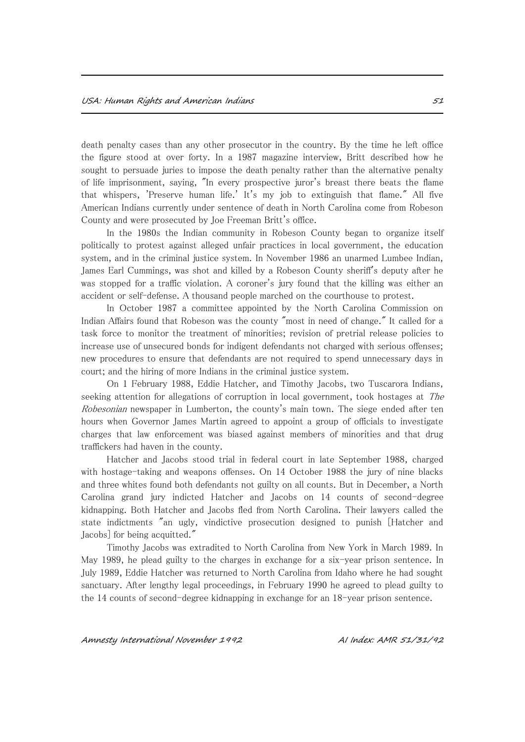death penalty cases than any other prosecutor in the country. By the time he left office the figure stood at over forty. In a 1987 magazine interview, Britt described how he sought to persuade juries to impose the death penalty rather than the alternative penalty of life imprisonment, saying, "In every prospective juror's breast there beats the flame that whispers, 'Preserve human life.' It's my job to extinguish that flame." All five American Indians currently under sentence of death in North Carolina come from Robeson County and were prosecuted by Joe Freeman Britt's office.

In the 1980s the Indian community in Robeson County began to organize itself politically to protest against alleged unfair practices in local government, the education system, and in the criminal justice system. In November 1986 an unarmed Lumbee Indian, James Earl Cummings, was shot and killed by a Robeson County sheriff's deputy after he was stopped for a traffic violation. A coroner's jury found that the killing was either an accident or self-defense. A thousand people marched on the courthouse to protest.

In October 1987 a committee appointed by the North Carolina Commission on Indian Affairs found that Robeson was the county "most in need of change." It called for a task force to monitor the treatment of minorities; revision of pretrial release policies to increase use of unsecured bonds for indigent defendants not charged with serious offenses; new procedures to ensure that defendants are not required to spend unnecessary days in court; and the hiring of more Indians in the criminal justice system.

On 1 February 1988, Eddie Hatcher, and Timothy Jacobs, two Tuscarora Indians, seeking attention for allegations of corruption in local government, took hostages at The Robesonian newspaper in Lumberton, the county's main town. The siege ended after ten hours when Governor James Martin agreed to appoint a group of officials to investigate charges that law enforcement was biased against members of minorities and that drug traffickers had haven in the county.

Hatcher and Jacobs stood trial in federal court in late September 1988, charged with hostage-taking and weapons offenses. On 14 October 1988 the jury of nine blacks and three whites found both defendants not guilty on all counts. But in December, a North Carolina grand jury indicted Hatcher and Jacobs on 14 counts of second-degree kidnapping. Both Hatcher and Jacobs fled from North Carolina. Their lawyers called the state indictments "an ugly, vindictive prosecution designed to punish [Hatcher and Jacobs] for being acquitted."

Timothy Jacobs was extradited to North Carolina from New York in March 1989. In May 1989, he plead guilty to the charges in exchange for a six-year prison sentence. In July 1989, Eddie Hatcher was returned to North Carolina from Idaho where he had sought sanctuary. After lengthy legal proceedings, in February 1990 he agreed to plead guilty to the 14 counts of second-degree kidnapping in exchange for an 18-year prison sentence.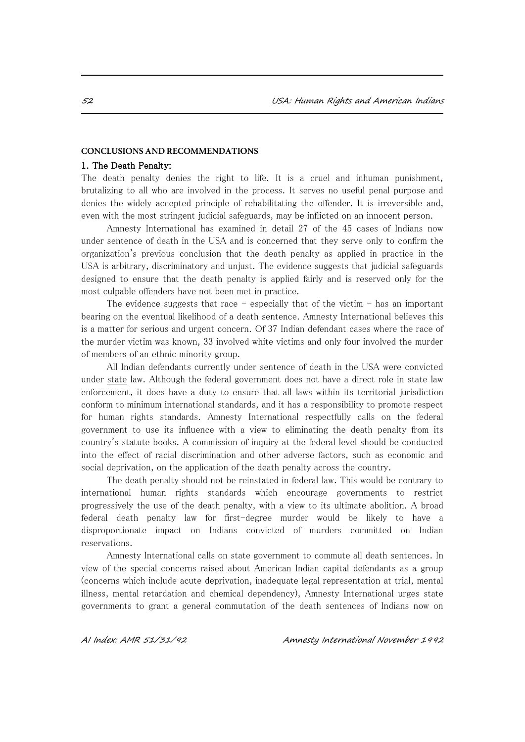#### **CONCLUSIONS AND RECOMMENDATIONS**

#### 1. The Death Penalty:

The death penalty denies the right to life. It is a cruel and inhuman punishment, brutalizing to all who are involved in the process. It serves no useful penal purpose and denies the widely accepted principle of rehabilitating the offender. It is irreversible and, even with the most stringent judicial safeguards, may be inflicted on an innocent person.

Amnesty International has examined in detail 27 of the 45 cases of Indians now under sentence of death in the USA and is concerned that they serve only to confirm the organization's previous conclusion that the death penalty as applied in practice in the USA is arbitrary, discriminatory and unjust. The evidence suggests that judicial safeguards designed to ensure that the death penalty is applied fairly and is reserved only for the most culpable offenders have not been met in practice.

The evidence suggests that race  $-$  especially that of the victim  $-$  has an important bearing on the eventual likelihood of a death sentence. Amnesty International believes this is a matter for serious and urgent concern. Of 37 Indian defendant cases where the race of the murder victim was known, 33 involved white victims and only four involved the murder of members of an ethnic minority group.

All Indian defendants currently under sentence of death in the USA were convicted under state law. Although the federal government does not have a direct role in state law enforcement, it does have a duty to ensure that all laws within its territorial jurisdiction conform to minimum international standards, and it has a responsibility to promote respect for human rights standards. Amnesty International respectfully calls on the federal government to use its influence with a view to eliminating the death penalty from its country's statute books. A commission of inquiry at the federal level should be conducted into the effect of racial discrimination and other adverse factors, such as economic and social deprivation, on the application of the death penalty across the country.

The death penalty should not be reinstated in federal law. This would be contrary to international human rights standards which encourage governments to restrict progressively the use of the death penalty, with a view to its ultimate abolition. A broad federal death penalty law for first-degree murder would be likely to have a disproportionate impact on Indians convicted of murders committed on Indian reservations.

Amnesty International calls on state government to commute all death sentences. In view of the special concerns raised about American Indian capital defendants as a group (concerns which include acute deprivation, inadequate legal representation at trial, mental illness, mental retardation and chemical dependency), Amnesty International urges state governments to grant a general commutation of the death sentences of Indians now on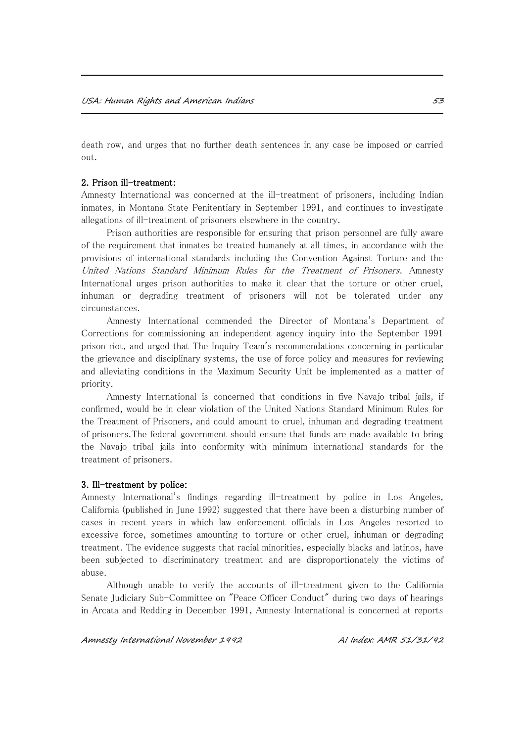death row, and urges that no further death sentences in any case be imposed or carried out.

#### 2. Prison ill-treatment:

Amnesty International was concerned at the ill-treatment of prisoners, including Indian inmates, in Montana State Penitentiary in September 1991, and continues to investigate allegations of ill-treatment of prisoners elsewhere in the country.

Prison authorities are responsible for ensuring that prison personnel are fully aware of the requirement that inmates be treated humanely at all times, in accordance with the provisions of international standards including the Convention Against Torture and the United Nations Standard Minimum Rules for the Treatment of Prisoners. Amnesty International urges prison authorities to make it clear that the torture or other cruel, inhuman or degrading treatment of prisoners will not be tolerated under any circumstances.

Amnesty International commended the Director of Montana's Department of Corrections for commissioning an independent agency inquiry into the September 1991 prison riot, and urged that The Inquiry Team's recommendations concerning in particular the grievance and disciplinary systems, the use of force policy and measures for reviewing and alleviating conditions in the Maximum Security Unit be implemented as a matter of priority.

Amnesty International is concerned that conditions in five Navajo tribal jails, if confirmed, would be in clear violation of the United Nations Standard Minimum Rules for the Treatment of Prisoners, and could amount to cruel, inhuman and degrading treatment of prisoners.The federal government should ensure that funds are made available to bring the Navajo tribal jails into conformity with minimum international standards for the treatment of prisoners.

#### 3. Ill-treatment by police:

Amnesty International's findings regarding ill-treatment by police in Los Angeles, California (published in June 1992) suggested that there have been a disturbing number of cases in recent years in which law enforcement officials in Los Angeles resorted to excessive force, sometimes amounting to torture or other cruel, inhuman or degrading treatment. The evidence suggests that racial minorities, especially blacks and latinos, have been subjected to discriminatory treatment and are disproportionately the victims of abuse.

Although unable to verify the accounts of ill-treatment given to the California Senate Judiciary Sub-Committee on "Peace Officer Conduct" during two days of hearings in Arcata and Redding in December 1991, Amnesty International is concerned at reports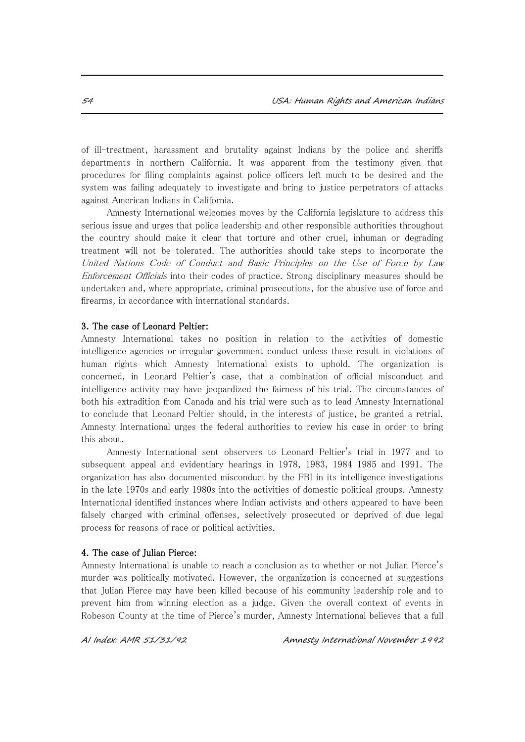of ill-treatment, harassment and brutality against Indians by the police and sheriffs departments in northern California. It was apparent from the testimony given that procedures for filing complaints against police officers left much to be desired and the system was failing adequately to investigate and bring to justice perpetrators of attacks against American Indians in California.

Amnesty International welcomes moves by the California legislature to address this serious issue and urges that police leadership and other responsible authorities throughout the country should make it clear that torture and other cruel, inhuman or degrading treatment will not be tolerated. The authorities should take steps to incorporate the United Nations Code of Conduct and Basic Principles on the Use of Force by Law Enforcement Officials into their codes of practice. Strong disciplinary measures should be undertaken and, where appropriate, criminal prosecutions, for the abusive use of force and firearms, in accordance with international standards.

#### 3. The case of Leonard Peltier:

Amnesty International takes no position in relation to the activities of domestic intelligence agencies or irregular government conduct unless these result in violations of human rights which Amnesty International exists to uphold. The organization is concerned, in Leonard Peltier's case, that a combination of official misconduct and intelligence activity may have jeopardized the fairness of his trial. The circumstances of both his extradition from Canada and his trial were such as to lead Amnesty International to conclude that Leonard Peltier should, in the interests of justice, be granted a retrial. Amnesty International urges the federal authorities to review his case in order to bring this about.

Amnesty International sent observers to Leonard Peltier's trial in 1977 and to subsequent appeal and evidentiary hearings in 1978, 1983, 1984 1985 and 1991. The organization has also documented misconduct by the FBI in its intelligence investigations in the late 1970s and early 1980s into the activities of domestic political groups. Amnesty International identified instances where Indian activists and others appeared to have been falsely charged with criminal offenses, selectively prosecuted or deprived of due legal process for reasons of race or political activities.

#### 4. The case of Julian Pierce:

Amnesty International is unable to reach a conclusion as to whether or not Julian Pierce's murder was politically motivated. However, the organization is concerned at suggestions that Julian Pierce may have been killed because of his community leadership role and to prevent him from winning election as a judge. Given the overall context of events in Robeson County at the time of Pierce's murder, Amnesty International believes that a full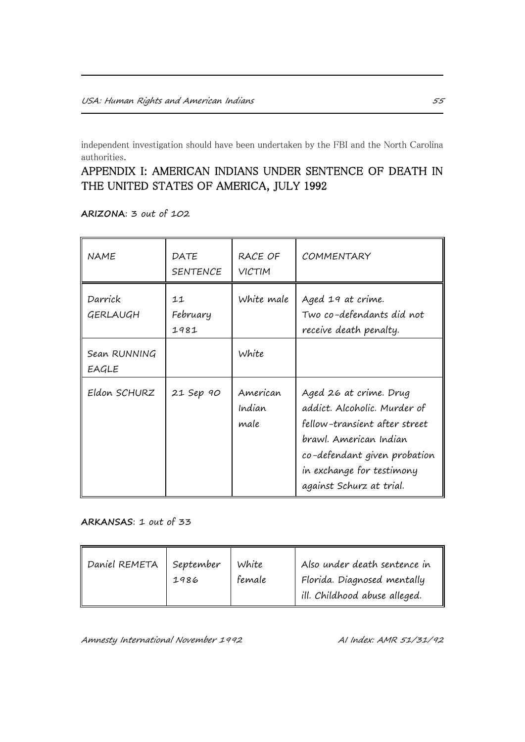independent investigation should have been undertaken by the FBI and the North Carolina authorities.

## APPENDIX I: AMERICAN INDIANS UNDER SENTENCE OF DEATH IN THE UNITED STATES OF AMERICA, JULY 1992

| <b>NAME</b>           | DATE<br><b>SENTENCE</b> | RACE OF<br>VICTIM          | <b>COMMENTARY</b>                                                                                                                                                                                          |
|-----------------------|-------------------------|----------------------------|------------------------------------------------------------------------------------------------------------------------------------------------------------------------------------------------------------|
| Darrick<br>GERLAUGH   | 11<br>February<br>1981  | White male                 | Aged 19 at crime.<br>Two co-defendants did not<br>receive death penalty.                                                                                                                                   |
| Sean RUNNING<br>EAGLE |                         | White                      |                                                                                                                                                                                                            |
| Eldon SCHURZ          | 21 Sep 90               | American<br>Indian<br>male | Aged 26 at crime. Drug<br>addict. Alcoholic. Murder of<br>fellow-transient after street<br>brawl. American Indian<br>co-defendant given probation<br>in exchange for testimony<br>against Schurz at trial. |

**ARIZONA**: 3 out of 102

**ARKANSAS**: 1 out of 33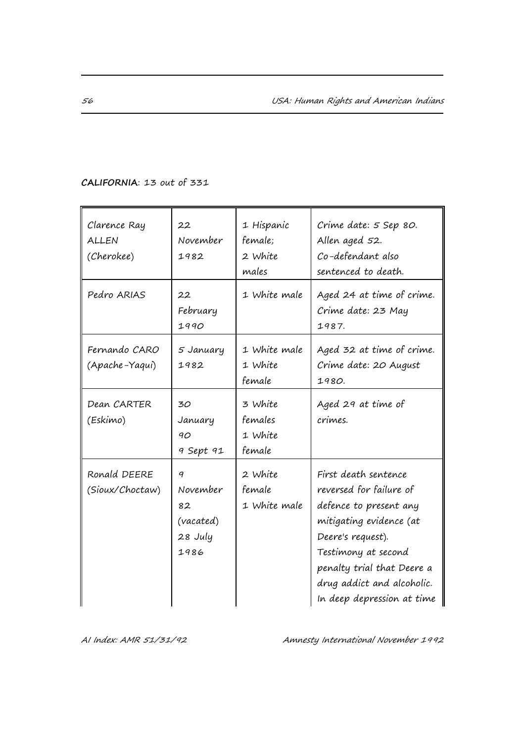### **CALIFORNIA**: 13 out of 331

| Clarence Ray<br><b>ALLEN</b><br>(Cherokee) | 22<br>November<br>1982                              | 1 Hispanic<br>female:<br>2 White<br>males | Crime date: 5 Sep 80.<br>Allen aged 52.<br>Co-defendant also<br>sentenced to death.                                                                                                                                                        |
|--------------------------------------------|-----------------------------------------------------|-------------------------------------------|--------------------------------------------------------------------------------------------------------------------------------------------------------------------------------------------------------------------------------------------|
| Pedro ARIAS                                | 22<br>February<br>1990                              | 1 White male                              | Aged 24 at time of crime.<br>Crime date: 23 May<br>1987.                                                                                                                                                                                   |
| Fernando CARO<br>(Apache-Yaqui)            | 5 January<br>1982                                   | 1 White male<br>1 White<br>female         | Aged 32 at time of crime.<br>Crime date: 20 August<br>1980.                                                                                                                                                                                |
| Dean CARTER<br>(Eskimo)                    | 30<br>January<br>90<br>9 Sept 91                    | 3 White<br>females<br>1 White<br>female   | Aged 29 at time of<br>crimes.                                                                                                                                                                                                              |
| Ronald DEERE<br>(Sioux/Choctaw)            | 9<br>November<br>82<br>(vacated)<br>28 July<br>1986 | 2 White<br>female<br>1 White male         | First death sentence<br>reversed for failure of<br>defence to present any<br>mitigating evidence (at<br>Deere's request).<br>Testimony at second<br>penalty trial that Deere a<br>drug addict and alcoholic.<br>In deep depression at time |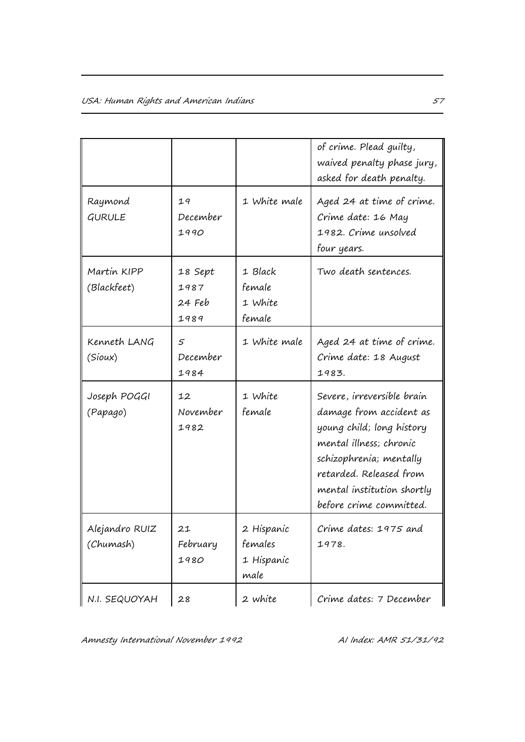|                             |                                   |                                             | of crime. Plead guilty,<br>waived penalty phase jury,<br>asked for death penalty.                                                                                                                                            |
|-----------------------------|-----------------------------------|---------------------------------------------|------------------------------------------------------------------------------------------------------------------------------------------------------------------------------------------------------------------------------|
| Raymond<br><b>GURULE</b>    | 19<br>December<br>1990            | 1 White male                                | Aged 24 at time of crime.<br>Crime date: 16 May<br>1982. Crime unsolved<br>four years.                                                                                                                                       |
| Martin KIPP<br>(Blackfeet)  | 18 Sept<br>1987<br>24 Feb<br>1989 | 1 Black<br>female<br>1 White<br>female      | Two death sentences.                                                                                                                                                                                                         |
| Kenneth LANG<br>(Sioux)     | 5<br>December<br>1984             | 1 White male                                | Aged 24 at time of crime.<br>Crime date: 18 August<br>1983.                                                                                                                                                                  |
| Joseph POGGI<br>(Papago)    | 12<br>November<br>1982            | 1 White<br>female                           | Severe, irreversible brain<br>damage from accident as<br>young child; long history<br>mental illness; chronic<br>schizophrenia; mentally<br>retarded. Released from<br>mental institution shortly<br>before crime committed. |
| Alejandro RUIZ<br>(Chumash) | 21<br>February<br>1980            | 2 Hispanic<br>females<br>1 Hispanic<br>male | Crime dates: 1975 and<br>1978.                                                                                                                                                                                               |
| N.I. SEQUOYAH               | 28                                | 2 white                                     | Crime dates: 7 December                                                                                                                                                                                                      |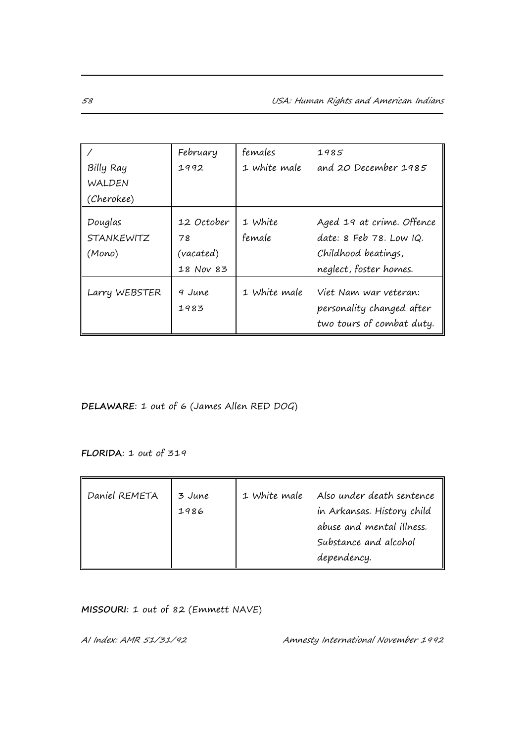|                                        | February                                   | females           | 1985                                                                                                      |
|----------------------------------------|--------------------------------------------|-------------------|-----------------------------------------------------------------------------------------------------------|
| Billy Ray                              | 1992                                       | 1 white male      | and 20 December 1985                                                                                      |
| <b>WALDEN</b>                          |                                            |                   |                                                                                                           |
| (Cherokee)                             |                                            |                   |                                                                                                           |
| Douglas<br><b>STANKEWITZ</b><br>(Mono) | 12 October<br>78<br>(vacated)<br>18 Nov 83 | 1 White<br>female | Aged 19 at crime. Offence<br>date: $8$ Feb 78. Low $IQ.$<br>Childhood beatings,<br>neglect, foster homes. |
| Larry WEBSTER                          | 9 June<br>1983                             | 1 White male      | Viet Nam war veteran:<br>personality changed after<br>two tours of combat duty.                           |

**DELAWARE**: 1 out of 6 (James Allen RED DOG)

**FLORIDA**: 1 out of 319

| Substance and alcohol<br>dependency. | Daniel REMETA | 3 June<br>1986 | 1 White male | Also under death sentence<br>in Arkansas. History child<br>abuse and mental illness. |
|--------------------------------------|---------------|----------------|--------------|--------------------------------------------------------------------------------------|
|--------------------------------------|---------------|----------------|--------------|--------------------------------------------------------------------------------------|

**MISSOURI**: 1 out of 82 (Emmett NAVE)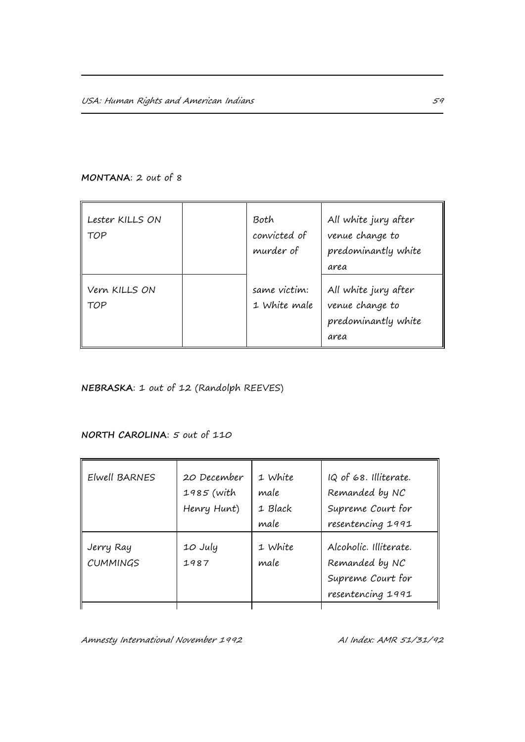### **MONTANA**: 2 out of 8

| Lester KILLS ON<br>TOP | Both<br>convicted of<br>murder of | All white jury after<br>venue change to<br>predominantly white<br>area |
|------------------------|-----------------------------------|------------------------------------------------------------------------|
| Vern KILLS ON<br>TOP   | same victim:<br>1 White male      | All white jury after<br>venue change to<br>predominantly white<br>area |

**NEBRASKA**: 1 out of 12 (Randolph REEVES)

### **NORTH CAROLINA**: 5 out of 110

| <b>Elwell BARNES</b>         | 20 December<br>1985 (with<br>Henry Hunt) | 1 White<br>male<br>1 Black<br>male | IQ of 68. Illiterate.<br>Remanded by NC<br>Supreme Court for<br>resentencing 1991  |
|------------------------------|------------------------------------------|------------------------------------|------------------------------------------------------------------------------------|
| Jerry Ray<br><b>CUMMINGS</b> | 10 July<br>1987                          | 1 White<br>male                    | Alcoholic. Illiterate.<br>Remanded by NC<br>Supreme Court for<br>resentencing 1991 |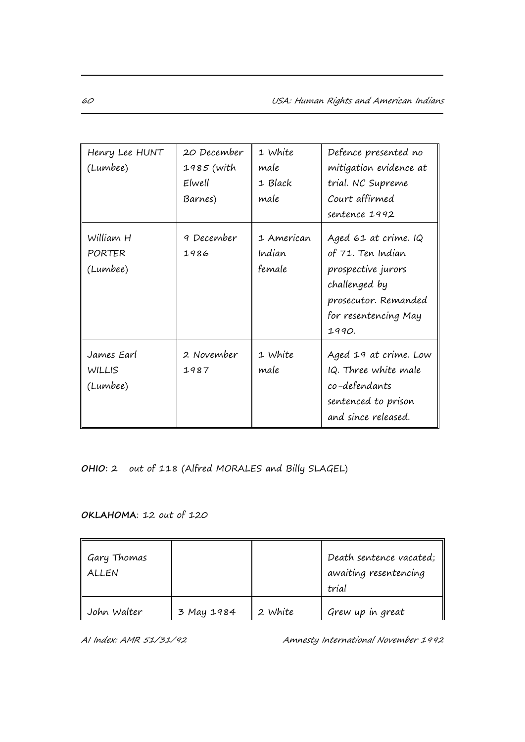| Henry Lee HUNT<br>(Lumbee)              | 20 December<br>1985 (with<br>Elwell<br>Barnes) | 1 White<br>male<br>1 Black<br>male | Defence presented no<br>mitigation evidence at<br>trial. NC Supreme<br>Court affirmed<br>sentence 1992                                      |
|-----------------------------------------|------------------------------------------------|------------------------------------|---------------------------------------------------------------------------------------------------------------------------------------------|
| William H<br>PORTER<br>(Lumbee)         | 9 December<br>1986                             | 1 American<br>Indian<br>female     | Aged 61 at crime. $IQ$<br>of 71. Ten Indian<br>prospective jurors<br>challenged by<br>prosecutor. Remanded<br>for resentencing May<br>1990. |
| James Earl<br><b>WILLIS</b><br>(Lumbee) | 2 November<br>1987                             | 1 White<br>male                    | Aged 19 at crime. Low<br>IQ. Three white male<br>co-defendants<br>sentenced to prison<br>and since released.                                |

**OHIO**: 2 out of 118 (Alfred MORALES and Billy SLAGEL)

### **OKLAHOMA**: 12 out of 120

| Gary Thomas<br><b>ALLEN</b> |            |         | Death sentence vacated;<br>awaiting resentencing<br>trial |
|-----------------------------|------------|---------|-----------------------------------------------------------|
| John Walter                 | 3 May 1984 | 2 White | Grew up in great                                          |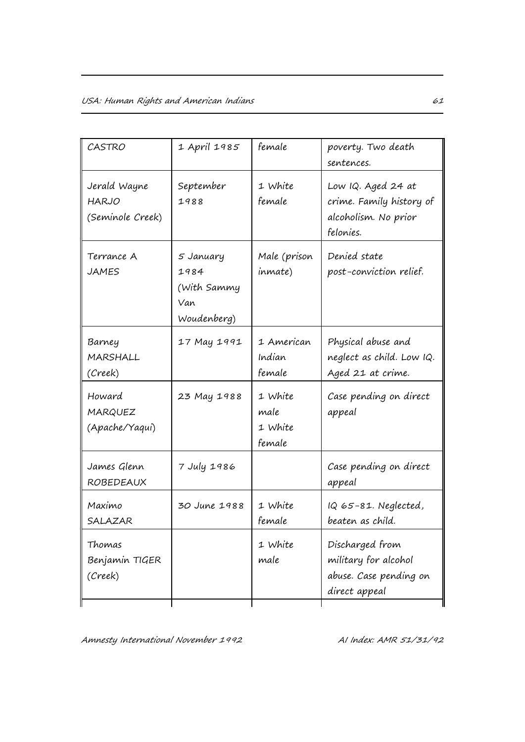| <b>CASTRO</b>                                    | 1 April 1985                                           | female                               | poverty. Two death<br>sentences.                                                    |  |
|--------------------------------------------------|--------------------------------------------------------|--------------------------------------|-------------------------------------------------------------------------------------|--|
| Jerald Wayne<br><b>HARJO</b><br>(Seminole Creek) | September<br>1988                                      | 1 White<br>female                    | Low IQ. Aged 24 at<br>crime. Family history of<br>alcoholism. No prior<br>felonies. |  |
| Terrance A<br><b>JAMES</b>                       | 5 January<br>1984<br>(With Sammy<br>Van<br>Woudenberg) | Male (prison<br><i>inmate</i> )      | Denied state<br>post-conviction relief.                                             |  |
| Barney<br>MARSHALL<br>(Creek)                    | 17 May 1991                                            | 1 American<br>Indian<br>female       | Physical abuse and<br>neglect as child. Low IQ.<br>Aged 21 at crime.                |  |
| Howard<br>MARQUEZ<br>(Apache/Yaqui)              | 23 May 1988                                            | 1 White<br>male<br>1 White<br>female | Case pending on direct<br>appeal                                                    |  |
| James Glenn<br><b>ROBEDEAUX</b>                  | 7 July 1986                                            |                                      | Case pending on direct<br>appeal                                                    |  |
| Maximo<br>SALAZAR                                | 30 June 1988                                           | 1 White<br>female                    | $IQ65-81. Neglected,$<br>beaten as child.                                           |  |
| Thomas<br>Benjamin TIGER<br>(Creek)              |                                                        | 1 White<br>male                      | Discharged from<br>military for alcohol<br>abuse. Case pending on<br>direct appeal  |  |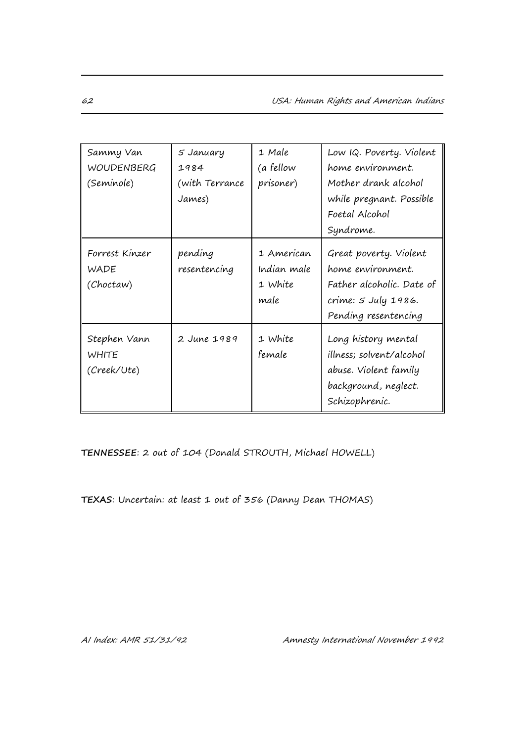| Sammy Van                            | 5 January               | 1 Male                                       | Low IQ. Poverty. Violent                                                                                                |
|--------------------------------------|-------------------------|----------------------------------------------|-------------------------------------------------------------------------------------------------------------------------|
| <b>WOUDENBERG</b>                    | 1984                    | (a fellow                                    | home environment.                                                                                                       |
| (Seminole)                           | (with Terrance)         | prisoner)                                    | Mother drank alcohol                                                                                                    |
|                                      | James)                  |                                              | while pregnant. Possible                                                                                                |
|                                      |                         |                                              | Foetal Alcohol                                                                                                          |
|                                      |                         |                                              | Syndrome.                                                                                                               |
| Forrest Kinzer<br>WADE<br>(Choctaw)  | pending<br>resentencing | 1 American<br>Indian male<br>1 White<br>male | Great poverty. Violent<br>home environment.<br>Father alcoholic. Date of<br>crime: 5 July 1986.<br>Pending resentencing |
| Stephen Vann<br>WHITE<br>(Creek/Ute) | 2 June 1989             | 1 White<br>female                            | Long history mental<br>illness; solvent/alcohol<br>abuse. Violent family<br>background, neglect.<br>Schizophrenic.      |

**TENNESSEE**: 2 out of 104 (Donald STROUTH, Michael HOWELL)

**TEXAS**: Uncertain: at least 1 out of 356 (Danny Dean THOMAS)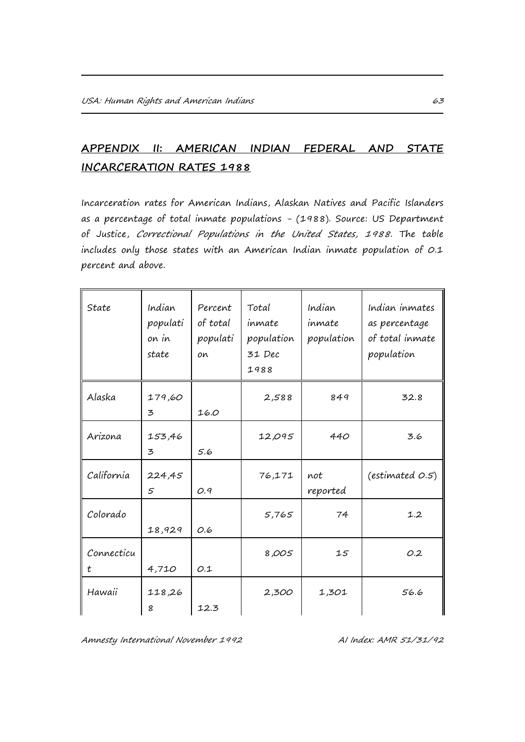## **APPENDIX II: AMERICAN INDIAN FEDERAL AND STATE INCARCERATION RATES 1988**

Incarceration rates for American Indians, Alaskan Natives and Pacific Islanders as a percentage of total inmate populations - (1988). Source: US Department of Justice, Correctional Populations in the United States, 1988. The table includes only those states with an American Indian inmate population of 0.1 percent and above.

| State           | Indian<br>populati<br>on in<br>state | Percent<br>of total<br>populati<br>on | Total<br>inmate<br>population<br>31 Dec<br>1988 | Indian<br>inmate<br>population | Indian inmates<br>as percentage<br>of total inmate<br>population |
|-----------------|--------------------------------------|---------------------------------------|-------------------------------------------------|--------------------------------|------------------------------------------------------------------|
| Alaska          | 179,60<br>3                          | 16.0                                  | 2,588                                           | 849                            | 32.8                                                             |
| Arizona         | 153,46<br>3                          | 5.6                                   | 12,095                                          | 440                            | 3.6                                                              |
| California      | 224,45<br>5                          | O.9                                   | 76,171                                          | not<br>reported                | (estimated O.5)                                                  |
| Colorado        | 18,929                               | O.6                                   | 5,765                                           | 74                             | 1.2                                                              |
| Connecticu<br>t | 4,710                                | O.1                                   | 8,005                                           | 15                             | O.2                                                              |
| Hawaii          | 118,26<br>8                          | 12.3                                  | 2,300                                           | 1,301                          | 56.6                                                             |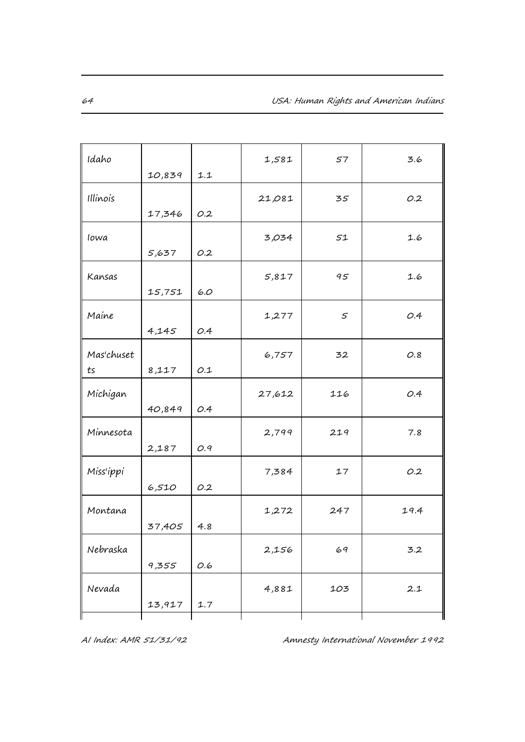| Idaho            |        |       | 1,581  | 57          | 3.6  |
|------------------|--------|-------|--------|-------------|------|
| Illinois         | 10,839 | 1.1   | 21,081 | 35          | O.2  |
| lowa             | 17,346 | O.2   | 3,034  | 51          | 1.6  |
|                  | 5,637  | $O.2$ |        |             |      |
| Kansas           | 15,751 | 6.0   | 5,817  | 95          | 1.6  |
| Maine            | 4,145  | O.4   | 1,277  | $\varsigma$ | O.4  |
| Mas'chuset<br>ts | 8,117  | O.1   | 6,757  | 32          | O.8  |
| Michigan         | 40,849 | O.4   | 27,612 | 116         | O.4  |
| Minnesota        | 2,187  | O.9   | 2,799  | 219         | 7.8  |
| Miss'ippi        | 6,510  | O.2   | 7,384  | 17          | O.2  |
| Montana          | 37,405 | 4.8   | 1,272  | 247         | 19.4 |
| Nebraska         | 9,355  | O.6   | 2,156  | 69          | 3.2  |
| Nevada           | 13,917 | 1.7   | 4,881  | 103         | 2.1  |
|                  |        |       |        |             |      |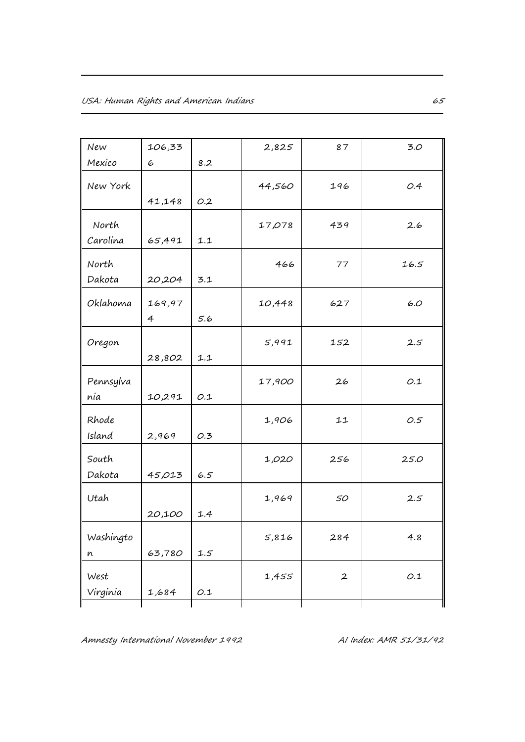| New               | 106,33                   |       | 2,825  | 87               | 3.0  |
|-------------------|--------------------------|-------|--------|------------------|------|
| Mexico            | 6                        | 8.2   |        |                  |      |
| New York          | 41,148                   | O.2   | 44,560 | 196              | O.4  |
| North<br>Carolina | 65,491                   | 1.1   | 17,078 | 439              | 2.6  |
| North<br>Dakota   | 20,204                   | 3.1   | 466    | 77               | 16.5 |
| Oklahoma          | 169,97<br>$\overline{4}$ | 5.6   | 10,448 | 627              | 6.0  |
| Oregon            | 28,802                   | 1.1   | 5,991  | 152              | 2.5  |
| Pennsylva<br>nia  | 10,291                   | O.1   | 17,900 | 26               | O.1  |
| Rhode<br>Island   | 2,969                    | O.3   | 1,906  | 11               | O.5  |
| South<br>Dakota   | 45,013                   | 6.5   | 1,020  | 256              | 25.0 |
| Utah              | 20,100                   | 1.4   | 1,969  | 50               | 2.5  |
| Washingto<br>n    | 63,780                   | $1.5$ | 5,816  | 284              | 4.8  |
| West<br>Virginia  | 1,684                    | O.1   | 1,455  | $\boldsymbol{2}$ | O.1  |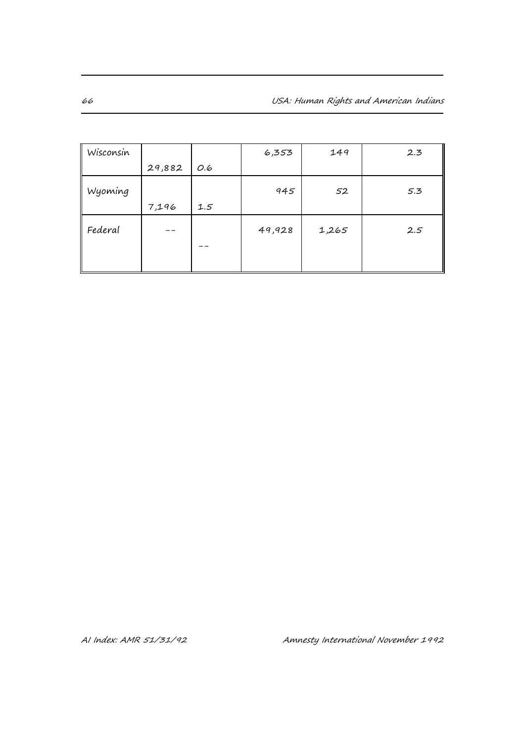| Wisconsin |        |     | 6,353  | 149   | 2.3 |
|-----------|--------|-----|--------|-------|-----|
|           | 29,882 | 0.6 |        |       |     |
| Wyoming   |        |     | 945    | 52    | 5.3 |
|           | 7,196  | 1.5 |        |       |     |
| Federal   |        |     | 49,928 | 1,265 | 2.5 |
|           |        |     |        |       |     |

66